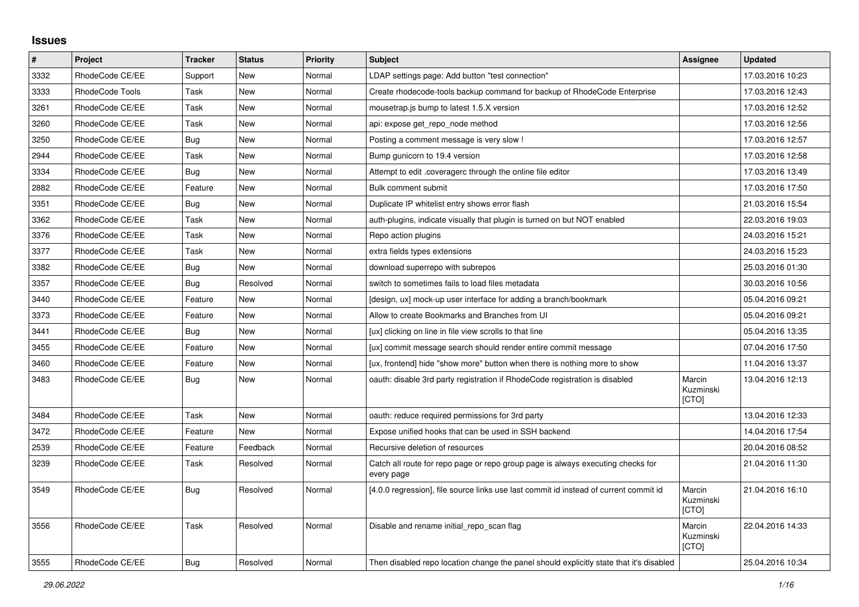## **Issues**

| $\pmb{\#}$ | Project         | <b>Tracker</b> | <b>Status</b> | <b>Priority</b> | <b>Subject</b>                                                                                | Assignee                     | <b>Updated</b>   |
|------------|-----------------|----------------|---------------|-----------------|-----------------------------------------------------------------------------------------------|------------------------------|------------------|
| 3332       | RhodeCode CE/EE | Support        | New           | Normal          | LDAP settings page: Add button "test connection"                                              |                              | 17.03.2016 10:23 |
| 3333       | RhodeCode Tools | Task           | <b>New</b>    | Normal          | Create rhodecode-tools backup command for backup of RhodeCode Enterprise                      |                              | 17.03.2016 12:43 |
| 3261       | RhodeCode CE/EE | Task           | New           | Normal          | mousetrap.js bump to latest 1.5.X version                                                     |                              | 17.03.2016 12:52 |
| 3260       | RhodeCode CE/EE | Task           | <b>New</b>    | Normal          | api: expose get repo node method                                                              |                              | 17.03.2016 12:56 |
| 3250       | RhodeCode CE/EE | Bug            | New           | Normal          | Posting a comment message is very slow !                                                      |                              | 17.03.2016 12:57 |
| 2944       | RhodeCode CE/EE | Task           | New           | Normal          | Bump gunicorn to 19.4 version                                                                 |                              | 17.03.2016 12:58 |
| 3334       | RhodeCode CE/EE | Bug            | <b>New</b>    | Normal          | Attempt to edit .coveragerc through the online file editor                                    |                              | 17.03.2016 13:49 |
| 2882       | RhodeCode CE/EE | Feature        | <b>New</b>    | Normal          | <b>Bulk comment submit</b>                                                                    |                              | 17.03.2016 17:50 |
| 3351       | RhodeCode CE/EE | <b>Bug</b>     | New           | Normal          | Duplicate IP whitelist entry shows error flash                                                |                              | 21.03.2016 15:54 |
| 3362       | RhodeCode CE/EE | Task           | New           | Normal          | auth-plugins, indicate visually that plugin is turned on but NOT enabled                      |                              | 22.03.2016 19:03 |
| 3376       | RhodeCode CE/EE | Task           | New           | Normal          | Repo action plugins                                                                           |                              | 24.03.2016 15:21 |
| 3377       | RhodeCode CE/EE | Task           | <b>New</b>    | Normal          | extra fields types extensions                                                                 |                              | 24.03.2016 15:23 |
| 3382       | RhodeCode CE/EE | Bug            | New           | Normal          | download superrepo with subrepos                                                              |                              | 25.03.2016 01:30 |
| 3357       | RhodeCode CE/EE | <b>Bug</b>     | Resolved      | Normal          | switch to sometimes fails to load files metadata                                              |                              | 30.03.2016 10:56 |
| 3440       | RhodeCode CE/EE | Feature        | <b>New</b>    | Normal          | [design, ux] mock-up user interface for adding a branch/bookmark                              |                              | 05.04.2016 09:21 |
| 3373       | RhodeCode CE/EE | Feature        | <b>New</b>    | Normal          | Allow to create Bookmarks and Branches from UI                                                |                              | 05.04.2016 09:21 |
| 3441       | RhodeCode CE/EE | <b>Bug</b>     | New           | Normal          | [ux] clicking on line in file view scrolls to that line                                       |                              | 05.04.2016 13:35 |
| 3455       | RhodeCode CE/EE | Feature        | <b>New</b>    | Normal          | [ux] commit message search should render entire commit message                                |                              | 07.04.2016 17:50 |
| 3460       | RhodeCode CE/EE | Feature        | New           | Normal          | [ux, frontend] hide "show more" button when there is nothing more to show                     |                              | 11.04.2016 13:37 |
| 3483       | RhodeCode CE/EE | Bug            | New           | Normal          | oauth: disable 3rd party registration if RhodeCode registration is disabled                   | Marcin<br>Kuzminski<br>[CTO] | 13.04.2016 12:13 |
| 3484       | RhodeCode CE/EE | Task           | New           | Normal          | oauth: reduce required permissions for 3rd party                                              |                              | 13.04.2016 12:33 |
| 3472       | RhodeCode CE/EE | Feature        | New           | Normal          | Expose unified hooks that can be used in SSH backend                                          |                              | 14.04.2016 17:54 |
| 2539       | RhodeCode CE/EE | Feature        | Feedback      | Normal          | Recursive deletion of resources                                                               |                              | 20.04.2016 08:52 |
| 3239       | RhodeCode CE/EE | Task           | Resolved      | Normal          | Catch all route for repo page or repo group page is always executing checks for<br>every page |                              | 21.04.2016 11:30 |
| 3549       | RhodeCode CE/EE | Bug            | Resolved      | Normal          | [4.0.0 regression], file source links use last commit id instead of current commit id         | Marcin<br>Kuzminski<br>[CTO] | 21.04.2016 16:10 |
| 3556       | RhodeCode CE/EE | Task           | Resolved      | Normal          | Disable and rename initial repo scan flag                                                     | Marcin<br>Kuzminski<br>[CTO] | 22.04.2016 14:33 |
| 3555       | RhodeCode CE/EE | Bug            | Resolved      | Normal          | Then disabled repo location change the panel should explicitly state that it's disabled       |                              | 25.04.2016 10:34 |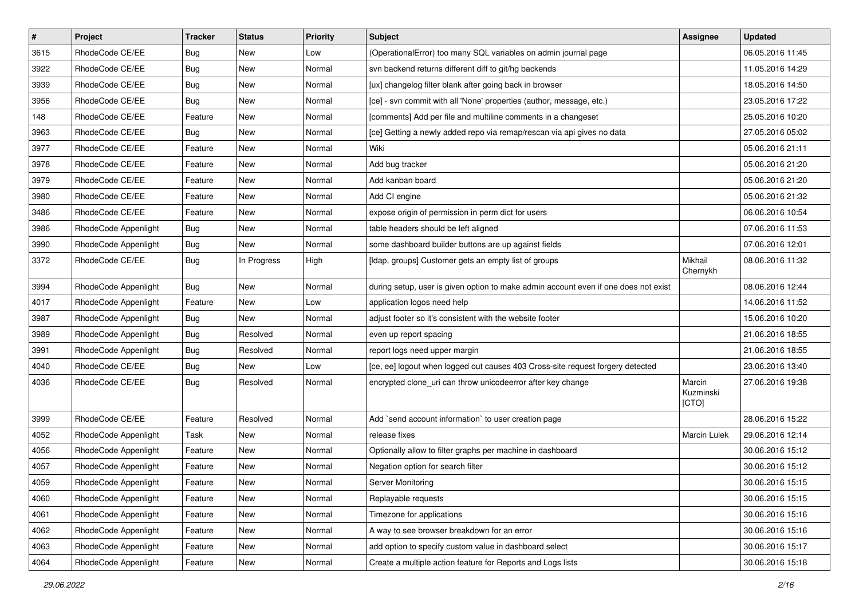| $\pmb{\#}$ | Project              | <b>Tracker</b> | <b>Status</b> | Priority | Subject                                                                             | <b>Assignee</b>              | <b>Updated</b>   |
|------------|----------------------|----------------|---------------|----------|-------------------------------------------------------------------------------------|------------------------------|------------------|
| 3615       | RhodeCode CE/EE      | <b>Bug</b>     | New           | Low      | (OperationalError) too many SQL variables on admin journal page                     |                              | 06.05.2016 11:45 |
| 3922       | RhodeCode CE/EE      | Bug            | New           | Normal   | svn backend returns different diff to git/hg backends                               |                              | 11.05.2016 14:29 |
| 3939       | RhodeCode CE/EE      | <b>Bug</b>     | New           | Normal   | [ux] changelog filter blank after going back in browser                             |                              | 18.05.2016 14:50 |
| 3956       | RhodeCode CE/EE      | <b>Bug</b>     | New           | Normal   | [ce] - svn commit with all 'None' properties (author, message, etc.)                |                              | 23.05.2016 17:22 |
| 148        | RhodeCode CE/EE      | Feature        | New           | Normal   | [comments] Add per file and multiline comments in a changeset                       |                              | 25.05.2016 10:20 |
| 3963       | RhodeCode CE/EE      | Bug            | New           | Normal   | [ce] Getting a newly added repo via remap/rescan via api gives no data              |                              | 27.05.2016 05:02 |
| 3977       | RhodeCode CE/EE      | Feature        | New           | Normal   | Wiki                                                                                |                              | 05.06.2016 21:11 |
| 3978       | RhodeCode CE/EE      | Feature        | <b>New</b>    | Normal   | Add bug tracker                                                                     |                              | 05.06.2016 21:20 |
| 3979       | RhodeCode CE/EE      | Feature        | New           | Normal   | Add kanban board                                                                    |                              | 05.06.2016 21:20 |
| 3980       | RhodeCode CE/EE      | Feature        | <b>New</b>    | Normal   | Add CI engine                                                                       |                              | 05.06.2016 21:32 |
| 3486       | RhodeCode CE/EE      | Feature        | New           | Normal   | expose origin of permission in perm dict for users                                  |                              | 06.06.2016 10:54 |
| 3986       | RhodeCode Appenlight | Bug            | New           | Normal   | table headers should be left aligned                                                |                              | 07.06.2016 11:53 |
| 3990       | RhodeCode Appenlight | Bug            | <b>New</b>    | Normal   | some dashboard builder buttons are up against fields                                |                              | 07.06.2016 12:01 |
| 3372       | RhodeCode CE/EE      | Bug            | In Progress   | High     | [Idap, groups] Customer gets an empty list of groups                                | Mikhail<br>Chernykh          | 08.06.2016 11:32 |
| 3994       | RhodeCode Appenlight | Bug            | <b>New</b>    | Normal   | during setup, user is given option to make admin account even if one does not exist |                              | 08.06.2016 12:44 |
| 4017       | RhodeCode Appenlight | Feature        | New           | Low      | application logos need help                                                         |                              | 14.06.2016 11:52 |
| 3987       | RhodeCode Appenlight | Bug            | <b>New</b>    | Normal   | adjust footer so it's consistent with the website footer                            |                              | 15.06.2016 10:20 |
| 3989       | RhodeCode Appenlight | Bug            | Resolved      | Normal   | even up report spacing                                                              |                              | 21.06.2016 18:55 |
| 3991       | RhodeCode Appenlight | <b>Bug</b>     | Resolved      | Normal   | report logs need upper margin                                                       |                              | 21.06.2016 18:55 |
| 4040       | RhodeCode CE/EE      | Bug            | <b>New</b>    | Low      | [ce, ee] logout when logged out causes 403 Cross-site request forgery detected      |                              | 23.06.2016 13:40 |
| 4036       | RhodeCode CE/EE      | Bug            | Resolved      | Normal   | encrypted clone_uri can throw unicodeerror after key change                         | Marcin<br>Kuzminski<br>[CTO] | 27.06.2016 19:38 |
| 3999       | RhodeCode CE/EE      | Feature        | Resolved      | Normal   | Add `send account information` to user creation page                                |                              | 28.06.2016 15:22 |
| 4052       | RhodeCode Appenlight | Task           | New           | Normal   | release fixes                                                                       | Marcin Lulek                 | 29.06.2016 12:14 |
| 4056       | RhodeCode Appenlight | Feature        | New           | Normal   | Optionally allow to filter graphs per machine in dashboard                          |                              | 30.06.2016 15:12 |
| 4057       | RhodeCode Appenlight | Feature        | New           | Normal   | Negation option for search filter                                                   |                              | 30.06.2016 15:12 |
| 4059       | RhodeCode Appenlight | Feature        | New           | Normal   | Server Monitoring                                                                   |                              | 30.06.2016 15:15 |
| 4060       | RhodeCode Appenlight | Feature        | New           | Normal   | Replayable requests                                                                 |                              | 30.06.2016 15:15 |
| 4061       | RhodeCode Appenlight | Feature        | New           | Normal   | Timezone for applications                                                           |                              | 30.06.2016 15:16 |
| 4062       | RhodeCode Appenlight | Feature        | New           | Normal   | A way to see browser breakdown for an error                                         |                              | 30.06.2016 15:16 |
| 4063       | RhodeCode Appenlight | Feature        | New           | Normal   | add option to specify custom value in dashboard select                              |                              | 30.06.2016 15:17 |
| 4064       | RhodeCode Appenlight | Feature        | New           | Normal   | Create a multiple action feature for Reports and Logs lists                         |                              | 30.06.2016 15:18 |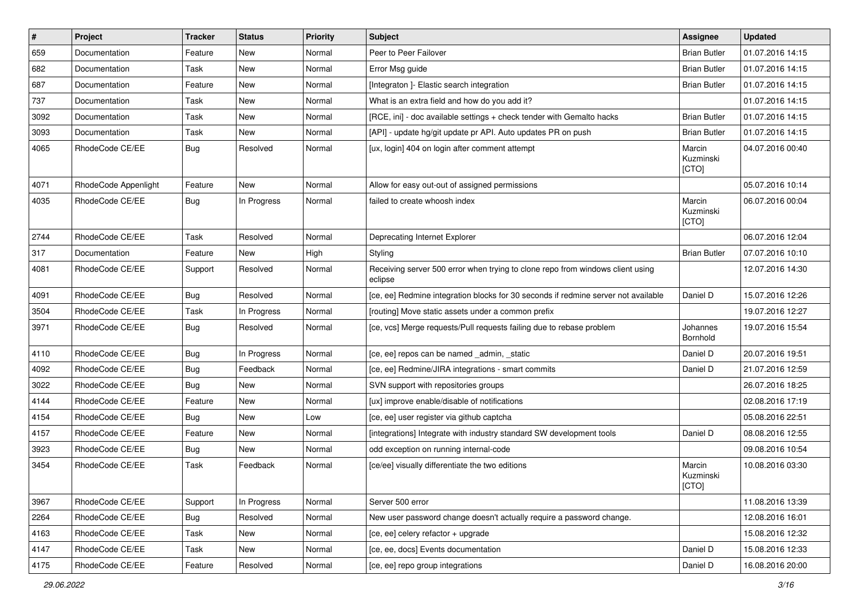| $\vert$ # | Project              | <b>Tracker</b> | <b>Status</b> | <b>Priority</b> | <b>Subject</b>                                                                            | <b>Assignee</b>              | <b>Updated</b>   |
|-----------|----------------------|----------------|---------------|-----------------|-------------------------------------------------------------------------------------------|------------------------------|------------------|
| 659       | Documentation        | Feature        | New           | Normal          | Peer to Peer Failover                                                                     | <b>Brian Butler</b>          | 01.07.2016 14:15 |
| 682       | Documentation        | Task           | <b>New</b>    | Normal          | Error Msg guide                                                                           | <b>Brian Butler</b>          | 01.07.2016 14:15 |
| 687       | Documentation        | Feature        | New           | Normal          | [Integraton] - Elastic search integration                                                 | <b>Brian Butler</b>          | 01.07.2016 14:15 |
| 737       | Documentation        | Task           | New           | Normal          | What is an extra field and how do you add it?                                             |                              | 01.07.2016 14:15 |
| 3092      | Documentation        | Task           | <b>New</b>    | Normal          | [RCE, ini] - doc available settings + check tender with Gemalto hacks                     | <b>Brian Butler</b>          | 01.07.2016 14:15 |
| 3093      | Documentation        | Task           | New           | Normal          | [API] - update hg/git update pr API. Auto updates PR on push                              | <b>Brian Butler</b>          | 01.07.2016 14:15 |
| 4065      | RhodeCode CE/EE      | Bug            | Resolved      | Normal          | [ux, login] 404 on login after comment attempt                                            | Marcin<br>Kuzminski<br>[CTO] | 04.07.2016 00:40 |
| 4071      | RhodeCode Appenlight | Feature        | <b>New</b>    | Normal          | Allow for easy out-out of assigned permissions                                            |                              | 05.07.2016 10:14 |
| 4035      | RhodeCode CE/EE      | Bug            | In Progress   | Normal          | failed to create whoosh index                                                             | Marcin<br>Kuzminski<br>[CTO] | 06.07.2016 00:04 |
| 2744      | RhodeCode CE/EE      | Task           | Resolved      | Normal          | Deprecating Internet Explorer                                                             |                              | 06.07.2016 12:04 |
| 317       | Documentation        | Feature        | New           | High            | Styling                                                                                   | <b>Brian Butler</b>          | 07.07.2016 10:10 |
| 4081      | RhodeCode CE/EE      | Support        | Resolved      | Normal          | Receiving server 500 error when trying to clone repo from windows client using<br>eclipse |                              | 12.07.2016 14:30 |
| 4091      | RhodeCode CE/EE      | Bug            | Resolved      | Normal          | [ce, ee] Redmine integration blocks for 30 seconds if redmine server not available        | Daniel D                     | 15.07.2016 12:26 |
| 3504      | RhodeCode CE/EE      | Task           | In Progress   | Normal          | [routing] Move static assets under a common prefix                                        |                              | 19.07.2016 12:27 |
| 3971      | RhodeCode CE/EE      | Bug            | Resolved      | Normal          | [ce, vcs] Merge requests/Pull requests failing due to rebase problem                      | Johannes<br>Bornhold         | 19.07.2016 15:54 |
| 4110      | RhodeCode CE/EE      | Bug            | In Progress   | Normal          | [ce, ee] repos can be named _admin, _static                                               | Daniel D                     | 20.07.2016 19:51 |
| 4092      | RhodeCode CE/EE      | <b>Bug</b>     | Feedback      | Normal          | [ce, ee] Redmine/JIRA integrations - smart commits                                        | Daniel D                     | 21.07.2016 12:59 |
| 3022      | RhodeCode CE/EE      | Bug            | <b>New</b>    | Normal          | SVN support with repositories groups                                                      |                              | 26.07.2016 18:25 |
| 4144      | RhodeCode CE/EE      | Feature        | New           | Normal          | [ux] improve enable/disable of notifications                                              |                              | 02.08.2016 17:19 |
| 4154      | RhodeCode CE/EE      | Bug            | <b>New</b>    | Low             | [ce, ee] user register via github captcha                                                 |                              | 05.08.2016 22:51 |
| 4157      | RhodeCode CE/EE      | Feature        | New           | Normal          | [integrations] Integrate with industry standard SW development tools                      | Daniel D                     | 08.08.2016 12:55 |
| 3923      | RhodeCode CE/EE      | Bug            | New           | Normal          | odd exception on running internal-code                                                    |                              | 09.08.2016 10:54 |
| 3454      | RhodeCode CE/EE      | Task           | Feedback      | Normal          | [ce/ee] visually differentiate the two editions                                           | Marcin<br>Kuzminski<br>[CTO] | 10.08.2016 03:30 |
| 3967      | RhodeCode CE/EE      | Support        | In Progress   | Normal          | Server 500 error                                                                          |                              | 11.08.2016 13:39 |
| 2264      | RhodeCode CE/EE      | <b>Bug</b>     | Resolved      | Normal          | New user password change doesn't actually require a password change.                      |                              | 12.08.2016 16:01 |
| 4163      | RhodeCode CE/EE      | Task           | New           | Normal          | [ce, ee] celery refactor + upgrade                                                        |                              | 15.08.2016 12:32 |
| 4147      | RhodeCode CE/EE      | Task           | New           | Normal          | [ce, ee, docs] Events documentation                                                       | Daniel D                     | 15.08.2016 12:33 |
| 4175      | RhodeCode CE/EE      | Feature        | Resolved      | Normal          | [ce, ee] repo group integrations                                                          | Daniel D                     | 16.08.2016 20:00 |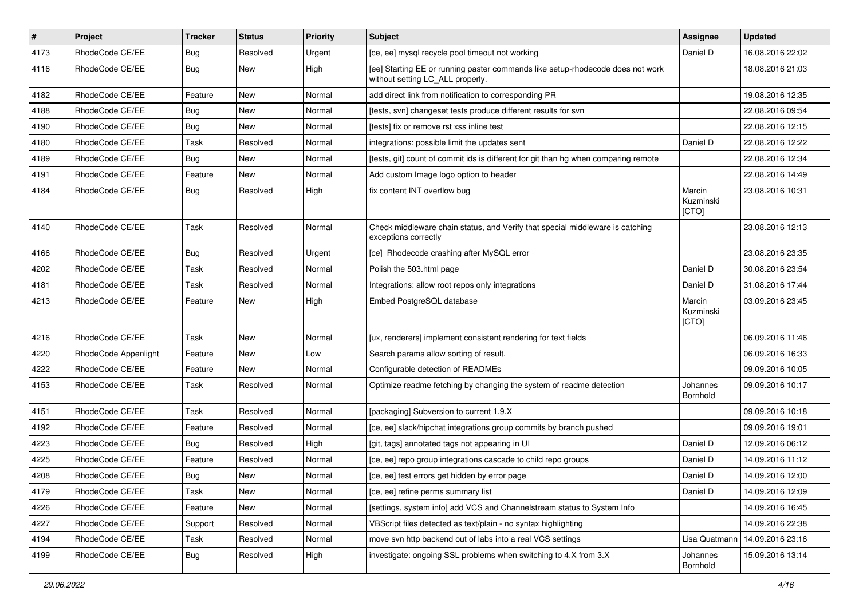| $\vert$ # | Project              | <b>Tracker</b> | <b>Status</b> | Priority | <b>Subject</b>                                                                                                     | <b>Assignee</b>              | <b>Updated</b>   |
|-----------|----------------------|----------------|---------------|----------|--------------------------------------------------------------------------------------------------------------------|------------------------------|------------------|
| 4173      | RhodeCode CE/EE      | <b>Bug</b>     | Resolved      | Urgent   | [ce, ee] mysql recycle pool timeout not working                                                                    | Daniel D                     | 16.08.2016 22:02 |
| 4116      | RhodeCode CE/EE      | Bug            | <b>New</b>    | High     | [ee] Starting EE or running paster commands like setup-rhodecode does not work<br>without setting LC_ALL properly. |                              | 18.08.2016 21:03 |
| 4182      | RhodeCode CE/EE      | Feature        | <b>New</b>    | Normal   | add direct link from notification to corresponding PR                                                              |                              | 19.08.2016 12:35 |
| 4188      | RhodeCode CE/EE      | <b>Bug</b>     | <b>New</b>    | Normal   | [tests, svn] changeset tests produce different results for svn                                                     |                              | 22.08.2016 09:54 |
| 4190      | RhodeCode CE/EE      | Bug            | New           | Normal   | [tests] fix or remove rst xss inline test                                                                          |                              | 22.08.2016 12:15 |
| 4180      | RhodeCode CE/EE      | Task           | Resolved      | Normal   | integrations: possible limit the updates sent                                                                      | Daniel D                     | 22.08.2016 12:22 |
| 4189      | RhodeCode CE/EE      | Bug            | <b>New</b>    | Normal   | [tests, git] count of commit ids is different for git than hg when comparing remote                                |                              | 22.08.2016 12:34 |
| 4191      | RhodeCode CE/EE      | Feature        | New           | Normal   | Add custom Image logo option to header                                                                             |                              | 22.08.2016 14:49 |
| 4184      | RhodeCode CE/EE      | Bug            | Resolved      | High     | fix content INT overflow bug                                                                                       | Marcin<br>Kuzminski<br>[CTO] | 23.08.2016 10:31 |
| 4140      | RhodeCode CE/EE      | Task           | Resolved      | Normal   | Check middleware chain status, and Verify that special middleware is catching<br>exceptions correctly              |                              | 23.08.2016 12:13 |
| 4166      | RhodeCode CE/EE      | Bug            | Resolved      | Urgent   | [ce] Rhodecode crashing after MySQL error                                                                          |                              | 23.08.2016 23:35 |
| 4202      | RhodeCode CE/EE      | Task           | Resolved      | Normal   | Polish the 503.html page                                                                                           | Daniel D                     | 30.08.2016 23:54 |
| 4181      | RhodeCode CE/EE      | Task           | Resolved      | Normal   | Integrations: allow root repos only integrations                                                                   | Daniel D                     | 31.08.2016 17:44 |
| 4213      | RhodeCode CE/EE      | Feature        | <b>New</b>    | High     | Embed PostgreSQL database                                                                                          | Marcin<br>Kuzminski<br>[CTO] | 03.09.2016 23:45 |
| 4216      | RhodeCode CE/EE      | Task           | <b>New</b>    | Normal   | [ux, renderers] implement consistent rendering for text fields                                                     |                              | 06.09.2016 11:46 |
| 4220      | RhodeCode Appenlight | Feature        | New           | Low      | Search params allow sorting of result.                                                                             |                              | 06.09.2016 16:33 |
| 4222      | RhodeCode CE/EE      | Feature        | <b>New</b>    | Normal   | Configurable detection of READMEs                                                                                  |                              | 09.09.2016 10:05 |
| 4153      | RhodeCode CE/EE      | Task           | Resolved      | Normal   | Optimize readme fetching by changing the system of readme detection                                                | Johannes<br>Bornhold         | 09.09.2016 10:17 |
| 4151      | RhodeCode CE/EE      | Task           | Resolved      | Normal   | [packaging] Subversion to current 1.9.X                                                                            |                              | 09.09.2016 10:18 |
| 4192      | RhodeCode CE/EE      | Feature        | Resolved      | Normal   | [ce, ee] slack/hipchat integrations group commits by branch pushed                                                 |                              | 09.09.2016 19:01 |
| 4223      | RhodeCode CE/EE      | Bug            | Resolved      | High     | [git, tags] annotated tags not appearing in UI                                                                     | Daniel D                     | 12.09.2016 06:12 |
| 4225      | RhodeCode CE/EE      | Feature        | Resolved      | Normal   | [ce, ee] repo group integrations cascade to child repo groups                                                      | Daniel D                     | 14.09.2016 11:12 |
| 4208      | RhodeCode CE/EE      | Bug            | New           | Normal   | [ce, ee] test errors get hidden by error page                                                                      | Daniel D                     | 14.09.2016 12:00 |
| 4179      | RhodeCode CE/EE      | Task           | New           | Normal   | [ce, ee] refine perms summary list                                                                                 | Daniel D                     | 14.09.2016 12:09 |
| 4226      | RhodeCode CE/EE      | Feature        | New           | Normal   | [settings, system info] add VCS and Channelstream status to System Info                                            |                              | 14.09.2016 16:45 |
| 4227      | RhodeCode CE/EE      | Support        | Resolved      | Normal   | VBScript files detected as text/plain - no syntax highlighting                                                     |                              | 14.09.2016 22:38 |
| 4194      | RhodeCode CE/EE      | Task           | Resolved      | Normal   | move svn http backend out of labs into a real VCS settings                                                         | Lisa Quatmann                | 14.09.2016 23:16 |
| 4199      | RhodeCode CE/EE      | Bug            | Resolved      | High     | investigate: ongoing SSL problems when switching to 4.X from 3.X                                                   | Johannes<br>Bornhold         | 15.09.2016 13:14 |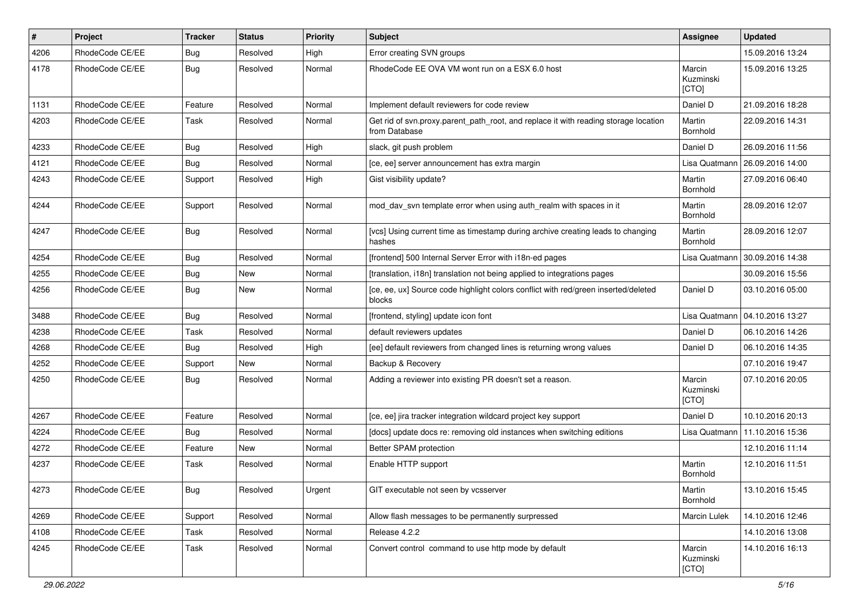| $\pmb{\#}$ | Project         | <b>Tracker</b> | <b>Status</b> | <b>Priority</b> | <b>Subject</b>                                                                                       | <b>Assignee</b>              | <b>Updated</b>   |
|------------|-----------------|----------------|---------------|-----------------|------------------------------------------------------------------------------------------------------|------------------------------|------------------|
| 4206       | RhodeCode CE/EE | Bug            | Resolved      | High            | Error creating SVN groups                                                                            |                              | 15.09.2016 13:24 |
| 4178       | RhodeCode CE/EE | Bug            | Resolved      | Normal          | RhodeCode EE OVA VM wont run on a ESX 6.0 host                                                       | Marcin<br>Kuzminski<br>[CTO] | 15.09.2016 13:25 |
| 1131       | RhodeCode CE/EE | Feature        | Resolved      | Normal          | Implement default reviewers for code review                                                          | Daniel D                     | 21.09.2016 18:28 |
| 4203       | RhodeCode CE/EE | Task           | Resolved      | Normal          | Get rid of svn.proxy.parent_path_root, and replace it with reading storage location<br>from Database | Martin<br>Bornhold           | 22.09.2016 14:31 |
| 4233       | RhodeCode CE/EE | Bug            | Resolved      | High            | slack, git push problem                                                                              | Daniel D                     | 26.09.2016 11:56 |
| 4121       | RhodeCode CE/EE | Bug            | Resolved      | Normal          | [ce, ee] server announcement has extra margin                                                        | Lisa Quatmann                | 26.09.2016 14:00 |
| 4243       | RhodeCode CE/EE | Support        | Resolved      | High            | Gist visibility update?                                                                              | Martin<br>Bornhold           | 27.09.2016 06:40 |
| 4244       | RhodeCode CE/EE | Support        | Resolved      | Normal          | mod_dav_svn template error when using auth_realm with spaces in it                                   | Martin<br><b>Bornhold</b>    | 28.09.2016 12:07 |
| 4247       | RhodeCode CE/EE | <b>Bug</b>     | Resolved      | Normal          | [vcs] Using current time as timestamp during archive creating leads to changing<br>hashes            | Martin<br><b>Bornhold</b>    | 28.09.2016 12:07 |
| 4254       | RhodeCode CE/EE | Bug            | Resolved      | Normal          | [frontend] 500 Internal Server Error with i18n-ed pages                                              | Lisa Quatmann                | 30.09.2016 14:38 |
| 4255       | RhodeCode CE/EE | Bug            | New           | Normal          | [translation, i18n] translation not being applied to integrations pages                              |                              | 30.09.2016 15:56 |
| 4256       | RhodeCode CE/EE | Bug            | New           | Normal          | [ce, ee, ux] Source code highlight colors conflict with red/green inserted/deleted<br>blocks         | Daniel D                     | 03.10.2016 05:00 |
| 3488       | RhodeCode CE/EE | Bug            | Resolved      | Normal          | [frontend, styling] update icon font                                                                 | Lisa Quatmann                | 04.10.2016 13:27 |
| 4238       | RhodeCode CE/EE | Task           | Resolved      | Normal          | default reviewers updates                                                                            | Daniel D                     | 06.10.2016 14:26 |
| 4268       | RhodeCode CE/EE | Bug            | Resolved      | High            | [ee] default reviewers from changed lines is returning wrong values                                  | Daniel D                     | 06.10.2016 14:35 |
| 4252       | RhodeCode CE/EE | Support        | New           | Normal          | Backup & Recovery                                                                                    |                              | 07.10.2016 19:47 |
| 4250       | RhodeCode CE/EE | Bug            | Resolved      | Normal          | Adding a reviewer into existing PR doesn't set a reason.                                             | Marcin<br>Kuzminski<br>[CTO] | 07.10.2016 20:05 |
| 4267       | RhodeCode CE/EE | Feature        | Resolved      | Normal          | [ce, ee] jira tracker integration wildcard project key support                                       | Daniel D                     | 10.10.2016 20:13 |
| 4224       | RhodeCode CE/EE | Bug            | Resolved      | Normal          | [docs] update docs re: removing old instances when switching editions                                | Lisa Quatmann                | 11.10.2016 15:36 |
| 4272       | RhodeCode CE/EE | Feature        | New           | Normal          | Better SPAM protection                                                                               |                              | 12.10.2016 11:14 |
| 4237       | RhodeCode CE/EE | Task           | Resolved      | Normal          | Enable HTTP support                                                                                  | Martin<br>Bornhold           | 12.10.2016 11:51 |
| 4273       | RhodeCode CE/EE | <b>Bug</b>     | Resolved      | Urgent          | GIT executable not seen by vcsserver                                                                 | Martin<br>Bornhold           | 13.10.2016 15:45 |
| 4269       | RhodeCode CE/EE | Support        | Resolved      | Normal          | Allow flash messages to be permanently surpressed                                                    | Marcin Lulek                 | 14.10.2016 12:46 |
| 4108       | RhodeCode CE/EE | Task           | Resolved      | Normal          | Release 4.2.2                                                                                        |                              | 14.10.2016 13:08 |
| 4245       | RhodeCode CE/EE | Task           | Resolved      | Normal          | Convert control command to use http mode by default                                                  | Marcin<br>Kuzminski<br>[CTO] | 14.10.2016 16:13 |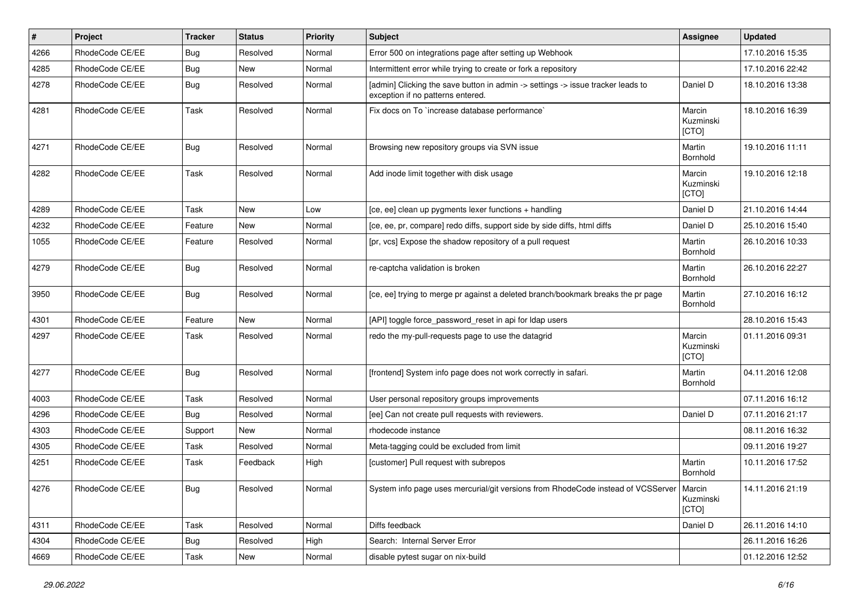| #    | Project         | <b>Tracker</b> | <b>Status</b> | <b>Priority</b> | Subject                                                                                                              | <b>Assignee</b>              | <b>Updated</b>   |
|------|-----------------|----------------|---------------|-----------------|----------------------------------------------------------------------------------------------------------------------|------------------------------|------------------|
| 4266 | RhodeCode CE/EE | Bug            | Resolved      | Normal          | Error 500 on integrations page after setting up Webhook                                                              |                              | 17.10.2016 15:35 |
| 4285 | RhodeCode CE/EE | Bug            | <b>New</b>    | Normal          | Intermittent error while trying to create or fork a repository                                                       |                              | 17.10.2016 22:42 |
| 4278 | RhodeCode CE/EE | Bug            | Resolved      | Normal          | [admin] Clicking the save button in admin -> settings -> issue tracker leads to<br>exception if no patterns entered. | Daniel D                     | 18.10.2016 13:38 |
| 4281 | RhodeCode CE/EE | Task           | Resolved      | Normal          | Fix docs on To `increase database performance`                                                                       | Marcin<br>Kuzminski<br>[CTO] | 18.10.2016 16:39 |
| 4271 | RhodeCode CE/EE | Bug            | Resolved      | Normal          | Browsing new repository groups via SVN issue                                                                         | Martin<br>Bornhold           | 19.10.2016 11:11 |
| 4282 | RhodeCode CE/EE | Task           | Resolved      | Normal          | Add inode limit together with disk usage                                                                             | Marcin<br>Kuzminski<br>[CTO] | 19.10.2016 12:18 |
| 4289 | RhodeCode CE/EE | Task           | <b>New</b>    | Low             | [ce, ee] clean up pygments lexer functions + handling                                                                | Daniel D                     | 21.10.2016 14:44 |
| 4232 | RhodeCode CE/EE | Feature        | New           | Normal          | [ce, ee, pr, compare] redo diffs, support side by side diffs, html diffs                                             | Daniel D                     | 25.10.2016 15:40 |
| 1055 | RhodeCode CE/EE | Feature        | Resolved      | Normal          | [pr, vcs] Expose the shadow repository of a pull request                                                             | Martin<br>Bornhold           | 26.10.2016 10:33 |
| 4279 | RhodeCode CE/EE | Bug            | Resolved      | Normal          | re-captcha validation is broken                                                                                      | Martin<br>Bornhold           | 26.10.2016 22:27 |
| 3950 | RhodeCode CE/EE | <b>Bug</b>     | Resolved      | Normal          | [ce, ee] trying to merge pr against a deleted branch/bookmark breaks the pr page                                     | Martin<br>Bornhold           | 27.10.2016 16:12 |
| 4301 | RhodeCode CE/EE | Feature        | <b>New</b>    | Normal          | [API] toggle force_password_reset in api for Idap users                                                              |                              | 28.10.2016 15:43 |
| 4297 | RhodeCode CE/EE | Task           | Resolved      | Normal          | redo the my-pull-requests page to use the datagrid                                                                   | Marcin<br>Kuzminski<br>[CTO] | 01.11.2016 09:31 |
| 4277 | RhodeCode CE/EE | Bug            | Resolved      | Normal          | [frontend] System info page does not work correctly in safari.                                                       | Martin<br>Bornhold           | 04.11.2016 12:08 |
| 4003 | RhodeCode CE/EE | Task           | Resolved      | Normal          | User personal repository groups improvements                                                                         |                              | 07.11.2016 16:12 |
| 4296 | RhodeCode CE/EE | Bug            | Resolved      | Normal          | [ee] Can not create pull requests with reviewers.                                                                    | Daniel D                     | 07.11.2016 21:17 |
| 4303 | RhodeCode CE/EE | Support        | <b>New</b>    | Normal          | rhodecode instance                                                                                                   |                              | 08.11.2016 16:32 |
| 4305 | RhodeCode CE/EE | Task           | Resolved      | Normal          | Meta-tagging could be excluded from limit                                                                            |                              | 09.11.2016 19:27 |
| 4251 | RhodeCode CE/EE | Task           | Feedback      | High            | [customer] Pull request with subrepos                                                                                | Martin<br>Bornhold           | 10.11.2016 17:52 |
| 4276 | RhodeCode CE/EE | Bug            | Resolved      | Normal          | System info page uses mercurial/git versions from RhodeCode instead of VCSServer   Marcin                            | Kuzminski<br>[CTO]           | 14.11.2016 21:19 |
| 4311 | RhodeCode CE/EE | Task           | Resolved      | Normal          | Diffs feedback                                                                                                       | Daniel D                     | 26.11.2016 14:10 |
| 4304 | RhodeCode CE/EE | <b>Bug</b>     | Resolved      | High            | Search: Internal Server Error                                                                                        |                              | 26.11.2016 16:26 |
| 4669 | RhodeCode CE/EE | Task           | New           | Normal          | disable pytest sugar on nix-build                                                                                    |                              | 01.12.2016 12:52 |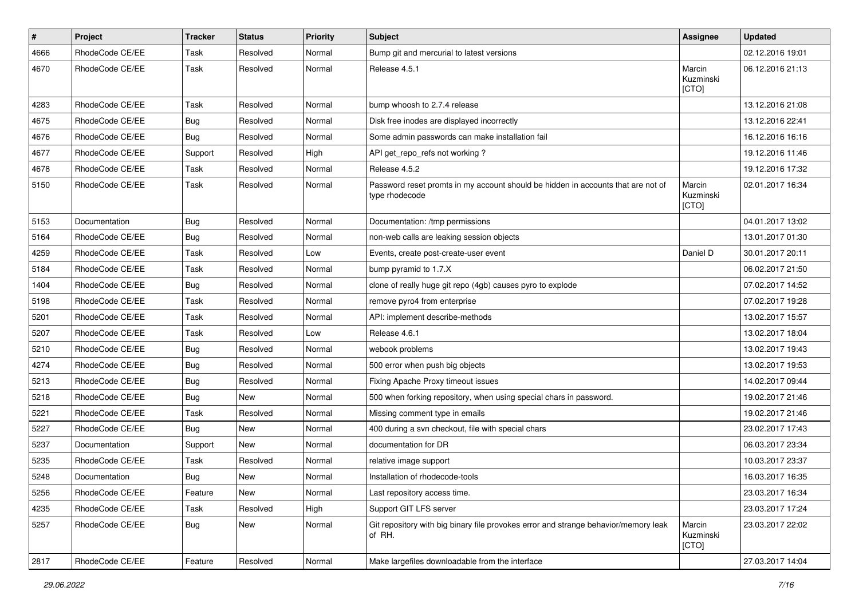| $\pmb{\#}$ | Project         | <b>Tracker</b> | <b>Status</b> | Priority | Subject                                                                                            | Assignee                     | <b>Updated</b>   |
|------------|-----------------|----------------|---------------|----------|----------------------------------------------------------------------------------------------------|------------------------------|------------------|
| 4666       | RhodeCode CE/EE | Task           | Resolved      | Normal   | Bump git and mercurial to latest versions                                                          |                              | 02.12.2016 19:01 |
| 4670       | RhodeCode CE/EE | Task           | Resolved      | Normal   | Release 4.5.1                                                                                      | Marcin<br>Kuzminski<br>[CTO] | 06.12.2016 21:13 |
| 4283       | RhodeCode CE/EE | Task           | Resolved      | Normal   | bump whoosh to 2.7.4 release                                                                       |                              | 13.12.2016 21:08 |
| 4675       | RhodeCode CE/EE | Bug            | Resolved      | Normal   | Disk free inodes are displayed incorrectly                                                         |                              | 13.12.2016 22:41 |
| 4676       | RhodeCode CE/EE | Bug            | Resolved      | Normal   | Some admin passwords can make installation fail                                                    |                              | 16.12.2016 16:16 |
| 4677       | RhodeCode CE/EE | Support        | Resolved      | High     | API get_repo_refs not working?                                                                     |                              | 19.12.2016 11:46 |
| 4678       | RhodeCode CE/EE | Task           | Resolved      | Normal   | Release 4.5.2                                                                                      |                              | 19.12.2016 17:32 |
| 5150       | RhodeCode CE/EE | Task           | Resolved      | Normal   | Password reset promts in my account should be hidden in accounts that are not of<br>type rhodecode | Marcin<br>Kuzminski<br>[CTO] | 02.01.2017 16:34 |
| 5153       | Documentation   | Bug            | Resolved      | Normal   | Documentation: /tmp permissions                                                                    |                              | 04.01.2017 13:02 |
| 5164       | RhodeCode CE/EE | <b>Bug</b>     | Resolved      | Normal   | non-web calls are leaking session objects                                                          |                              | 13.01.2017 01:30 |
| 4259       | RhodeCode CE/EE | Task           | Resolved      | Low      | Events, create post-create-user event                                                              | Daniel D                     | 30.01.2017 20:11 |
| 5184       | RhodeCode CE/EE | Task           | Resolved      | Normal   | bump pyramid to 1.7.X                                                                              |                              | 06.02.2017 21:50 |
| 1404       | RhodeCode CE/EE | Bug            | Resolved      | Normal   | clone of really huge git repo (4gb) causes pyro to explode                                         |                              | 07.02.2017 14:52 |
| 5198       | RhodeCode CE/EE | Task           | Resolved      | Normal   | remove pyro4 from enterprise                                                                       |                              | 07.02.2017 19:28 |
| 5201       | RhodeCode CE/EE | Task           | Resolved      | Normal   | API: implement describe-methods                                                                    |                              | 13.02.2017 15:57 |
| 5207       | RhodeCode CE/EE | Task           | Resolved      | Low      | Release 4.6.1                                                                                      |                              | 13.02.2017 18:04 |
| 5210       | RhodeCode CE/EE | Bug            | Resolved      | Normal   | webook problems                                                                                    |                              | 13.02.2017 19:43 |
| 4274       | RhodeCode CE/EE | <b>Bug</b>     | Resolved      | Normal   | 500 error when push big objects                                                                    |                              | 13.02.2017 19:53 |
| 5213       | RhodeCode CE/EE | Bug            | Resolved      | Normal   | Fixing Apache Proxy timeout issues                                                                 |                              | 14.02.2017 09:44 |
| 5218       | RhodeCode CE/EE | Bug            | <b>New</b>    | Normal   | 500 when forking repository, when using special chars in password.                                 |                              | 19.02.2017 21:46 |
| 5221       | RhodeCode CE/EE | Task           | Resolved      | Normal   | Missing comment type in emails                                                                     |                              | 19.02.2017 21:46 |
| 5227       | RhodeCode CE/EE | Bug            | New           | Normal   | 400 during a svn checkout, file with special chars                                                 |                              | 23.02.2017 17:43 |
| 5237       | Documentation   | Support        | <b>New</b>    | Normal   | documentation for DR                                                                               |                              | 06.03.2017 23:34 |
| 5235       | RhodeCode CE/EE | Task           | Resolved      | Normal   | relative image support                                                                             |                              | 10.03.2017 23:37 |
| 5248       | Documentation   | Bug            | <b>New</b>    | Normal   | Installation of rhodecode-tools                                                                    |                              | 16.03.2017 16:35 |
| 5256       | RhodeCode CE/EE | Feature        | New           | Normal   | Last repository access time.                                                                       |                              | 23.03.2017 16:34 |
| 4235       | RhodeCode CE/EE | Task           | Resolved      | High     | Support GIT LFS server                                                                             |                              | 23.03.2017 17:24 |
| 5257       | RhodeCode CE/EE | <b>Bug</b>     | New           | Normal   | Git repository with big binary file provokes error and strange behavior/memory leak<br>of RH.      | Marcin<br>Kuzminski<br>[CTO] | 23.03.2017 22:02 |
| 2817       | RhodeCode CE/EE | Feature        | Resolved      | Normal   | Make largefiles downloadable from the interface                                                    |                              | 27.03.2017 14:04 |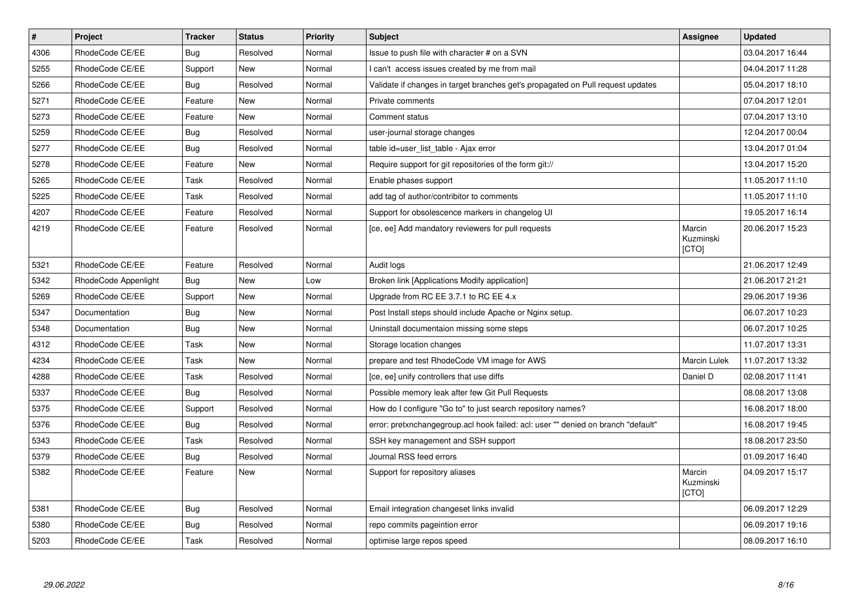| $\vert$ # | Project              | <b>Tracker</b> | <b>Status</b> | <b>Priority</b> | <b>Subject</b>                                                                    | Assignee                            | <b>Updated</b>   |
|-----------|----------------------|----------------|---------------|-----------------|-----------------------------------------------------------------------------------|-------------------------------------|------------------|
| 4306      | RhodeCode CE/EE      | Bug            | Resolved      | Normal          | Issue to push file with character # on a SVN                                      |                                     | 03.04.2017 16:44 |
| 5255      | RhodeCode CE/EE      | Support        | New           | Normal          | can't access issues created by me from mail                                       |                                     | 04.04.2017 11:28 |
| 5266      | RhodeCode CE/EE      | Bug            | Resolved      | Normal          | Validate if changes in target branches get's propagated on Pull request updates   |                                     | 05.04.2017 18:10 |
| 5271      | RhodeCode CE/EE      | Feature        | <b>New</b>    | Normal          | Private comments                                                                  |                                     | 07.04.2017 12:01 |
| 5273      | RhodeCode CE/EE      | Feature        | <b>New</b>    | Normal          | Comment status                                                                    |                                     | 07.04.2017 13:10 |
| 5259      | RhodeCode CE/EE      | Bug            | Resolved      | Normal          | user-journal storage changes                                                      |                                     | 12.04.2017 00:04 |
| 5277      | RhodeCode CE/EE      | Bug            | Resolved      | Normal          | table id=user list table - Ajax error                                             |                                     | 13.04.2017 01:04 |
| 5278      | RhodeCode CE/EE      | Feature        | <b>New</b>    | Normal          | Require support for git repositories of the form git://                           |                                     | 13.04.2017 15:20 |
| 5265      | RhodeCode CE/EE      | Task           | Resolved      | Normal          | Enable phases support                                                             |                                     | 11.05.2017 11:10 |
| 5225      | RhodeCode CE/EE      | Task           | Resolved      | Normal          | add tag of author/contribitor to comments                                         |                                     | 11.05.2017 11:10 |
| 4207      | RhodeCode CE/EE      | Feature        | Resolved      | Normal          | Support for obsolescence markers in changelog UI                                  |                                     | 19.05.2017 16:14 |
| 4219      | RhodeCode CE/EE      | Feature        | Resolved      | Normal          | [ce, ee] Add mandatory reviewers for pull requests                                | Marcin<br>Kuzminski<br>[CTO]        | 20.06.2017 15:23 |
| 5321      | RhodeCode CE/EE      | Feature        | Resolved      | Normal          | Audit logs                                                                        |                                     | 21.06.2017 12:49 |
| 5342      | RhodeCode Appenlight | Bug            | New           | Low             | Broken link [Applications Modify application]                                     |                                     | 21.06.2017 21:21 |
| 5269      | RhodeCode CE/EE      | Support        | New           | Normal          | Upgrade from RC EE 3.7.1 to RC EE 4. $x$                                          |                                     | 29.06.2017 19:36 |
| 5347      | Documentation        | Bug            | <b>New</b>    | Normal          | Post Install steps should include Apache or Nginx setup.                          |                                     | 06.07.2017 10:23 |
| 5348      | Documentation        | Bug            | <b>New</b>    | Normal          | Uninstall documentaion missing some steps                                         |                                     | 06.07.2017 10:25 |
| 4312      | RhodeCode CE/EE      | Task           | New           | Normal          | Storage location changes                                                          |                                     | 11.07.2017 13:31 |
| 4234      | RhodeCode CE/EE      | Task           | <b>New</b>    | Normal          | prepare and test RhodeCode VM image for AWS                                       | Marcin Lulek                        | 11.07.2017 13:32 |
| 4288      | RhodeCode CE/EE      | Task           | Resolved      | Normal          | [ce, ee] unify controllers that use diffs                                         | Daniel D                            | 02.08.2017 11:41 |
| 5337      | RhodeCode CE/EE      | Bug            | Resolved      | Normal          | Possible memory leak after few Git Pull Requests                                  |                                     | 08.08.2017 13:08 |
| 5375      | RhodeCode CE/EE      | Support        | Resolved      | Normal          | How do I configure "Go to" to just search repository names?                       |                                     | 16.08.2017 18:00 |
| 5376      | RhodeCode CE/EE      | Bug            | Resolved      | Normal          | error: pretxnchangegroup.acl hook failed: acl: user "" denied on branch "default" |                                     | 16.08.2017 19:45 |
| 5343      | RhodeCode CE/EE      | Task           | Resolved      | Normal          | SSH key management and SSH support                                                |                                     | 18.08.2017 23:50 |
| 5379      | RhodeCode CE/EE      | Bug            | Resolved      | Normal          | Journal RSS feed errors                                                           |                                     | 01.09.2017 16:40 |
| 5382      | RhodeCode CE/EE      | Feature        | <b>New</b>    | Normal          | Support for repository aliases                                                    | Marcin<br>Kuzminski<br><b>ICTOI</b> | 04.09.2017 15:17 |
| 5381      | RhodeCode CE/EE      | Bug            | Resolved      | Normal          | Email integration changeset links invalid                                         |                                     | 06.09.2017 12:29 |
| 5380      | RhodeCode CE/EE      | Bug            | Resolved      | Normal          | repo commits pageintion error                                                     |                                     | 06.09.2017 19:16 |
| 5203      | RhodeCode CE/EE      | Task           | Resolved      | Normal          | optimise large repos speed                                                        |                                     | 08.09.2017 16:10 |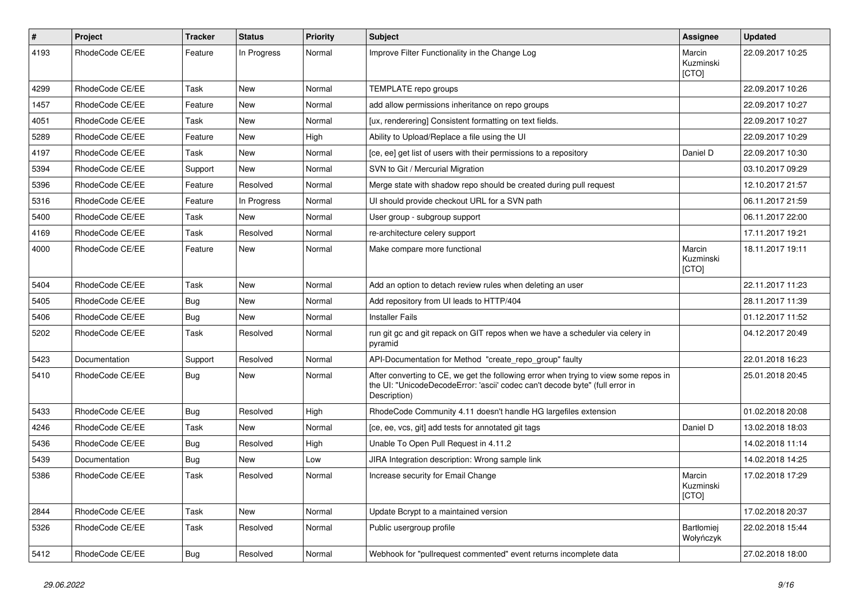| $\pmb{\#}$ | Project         | <b>Tracker</b> | <b>Status</b> | <b>Priority</b> | <b>Subject</b>                                                                                                                                                                       | Assignee                       | <b>Updated</b>   |
|------------|-----------------|----------------|---------------|-----------------|--------------------------------------------------------------------------------------------------------------------------------------------------------------------------------------|--------------------------------|------------------|
| 4193       | RhodeCode CE/EE | Feature        | In Progress   | Normal          | Improve Filter Functionality in the Change Log                                                                                                                                       | Marcin<br>Kuzminski<br>[CTO]   | 22.09.2017 10:25 |
| 4299       | RhodeCode CE/EE | Task           | New           | Normal          | TEMPLATE repo groups                                                                                                                                                                 |                                | 22.09.2017 10:26 |
| 1457       | RhodeCode CE/EE | Feature        | <b>New</b>    | Normal          | add allow permissions inheritance on repo groups                                                                                                                                     |                                | 22.09.2017 10:27 |
| 4051       | RhodeCode CE/EE | Task           | <b>New</b>    | Normal          | [ux, renderering] Consistent formatting on text fields.                                                                                                                              |                                | 22.09.2017 10:27 |
| 5289       | RhodeCode CE/EE | Feature        | New           | High            | Ability to Upload/Replace a file using the UI                                                                                                                                        |                                | 22.09.2017 10:29 |
| 4197       | RhodeCode CE/EE | Task           | <b>New</b>    | Normal          | [ce, ee] get list of users with their permissions to a repository                                                                                                                    | Daniel D                       | 22.09.2017 10:30 |
| 5394       | RhodeCode CE/EE | Support        | <b>New</b>    | Normal          | SVN to Git / Mercurial Migration                                                                                                                                                     |                                | 03.10.2017 09:29 |
| 5396       | RhodeCode CE/EE | Feature        | Resolved      | Normal          | Merge state with shadow repo should be created during pull request                                                                                                                   |                                | 12.10.2017 21:57 |
| 5316       | RhodeCode CE/EE | Feature        | In Progress   | Normal          | UI should provide checkout URL for a SVN path                                                                                                                                        |                                | 06.11.2017 21:59 |
| 5400       | RhodeCode CE/EE | Task           | <b>New</b>    | Normal          | User group - subgroup support                                                                                                                                                        |                                | 06.11.2017 22:00 |
| 4169       | RhodeCode CE/EE | Task           | Resolved      | Normal          | re-architecture celery support                                                                                                                                                       |                                | 17.11.2017 19:21 |
| 4000       | RhodeCode CE/EE | Feature        | <b>New</b>    | Normal          | Make compare more functional                                                                                                                                                         | Marcin<br>Kuzminski<br>[CTO]   | 18.11.2017 19:11 |
| 5404       | RhodeCode CE/EE | Task           | New           | Normal          | Add an option to detach review rules when deleting an user                                                                                                                           |                                | 22.11.2017 11:23 |
| 5405       | RhodeCode CE/EE | Bug            | New           | Normal          | Add repository from UI leads to HTTP/404                                                                                                                                             |                                | 28.11.2017 11:39 |
| 5406       | RhodeCode CE/EE | Bug            | New           | Normal          | <b>Installer Fails</b>                                                                                                                                                               |                                | 01.12.2017 11:52 |
| 5202       | RhodeCode CE/EE | Task           | Resolved      | Normal          | run git gc and git repack on GIT repos when we have a scheduler via celery in<br>pyramid                                                                                             |                                | 04.12.2017 20:49 |
| 5423       | Documentation   | Support        | Resolved      | Normal          | API-Documentation for Method "create repo group" faulty                                                                                                                              |                                | 22.01.2018 16:23 |
| 5410       | RhodeCode CE/EE | <b>Bug</b>     | <b>New</b>    | Normal          | After converting to CE, we get the following error when trying to view some repos in<br>the UI: "UnicodeDecodeError: 'ascii' codec can't decode byte" (full error in<br>Description) |                                | 25.01.2018 20:45 |
| 5433       | RhodeCode CE/EE | Bug            | Resolved      | High            | RhodeCode Community 4.11 doesn't handle HG largefiles extension                                                                                                                      |                                | 01.02.2018 20:08 |
| 4246       | RhodeCode CE/EE | Task           | New           | Normal          | [ce, ee, vcs, git] add tests for annotated git tags                                                                                                                                  | Daniel D                       | 13.02.2018 18:03 |
| 5436       | RhodeCode CE/EE | <b>Bug</b>     | Resolved      | High            | Unable To Open Pull Request in 4.11.2                                                                                                                                                |                                | 14.02.2018 11:14 |
| 5439       | Documentation   | Bug            | New           | Low             | JIRA Integration description: Wrong sample link                                                                                                                                      |                                | 14.02.2018 14:25 |
| 5386       | RhodeCode CE/EE | Task           | Resolved      | Normal          | Increase security for Email Change                                                                                                                                                   | Marcin<br>Kuzminski<br>[CTO]   | 17.02.2018 17:29 |
| 2844       | RhodeCode CE/EE | Task           | <b>New</b>    | Normal          | Update Bcrypt to a maintained version                                                                                                                                                |                                | 17.02.2018 20:37 |
| 5326       | RhodeCode CE/EE | Task           | Resolved      | Normal          | Public usergroup profile                                                                                                                                                             | <b>Bartłomiej</b><br>Wołyńczyk | 22.02.2018 15:44 |
| 5412       | RhodeCode CE/EE | <b>Bug</b>     | Resolved      | Normal          | Webhook for "pullrequest commented" event returns incomplete data                                                                                                                    |                                | 27.02.2018 18:00 |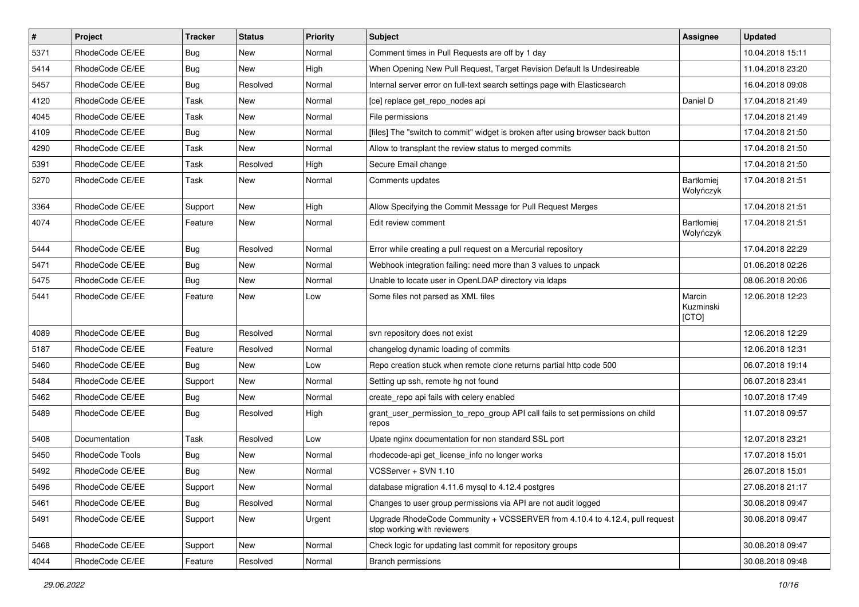| $\sharp$ | Project         | <b>Tracker</b> | <b>Status</b> | Priority | Subject                                                                                                    | <b>Assignee</b>              | <b>Updated</b>   |
|----------|-----------------|----------------|---------------|----------|------------------------------------------------------------------------------------------------------------|------------------------------|------------------|
| 5371     | RhodeCode CE/EE | Bug            | New           | Normal   | Comment times in Pull Requests are off by 1 day                                                            |                              | 10.04.2018 15:11 |
| 5414     | RhodeCode CE/EE | Bug            | <b>New</b>    | High     | When Opening New Pull Request, Target Revision Default Is Undesireable                                     |                              | 11.04.2018 23:20 |
| 5457     | RhodeCode CE/EE | Bug            | Resolved      | Normal   | Internal server error on full-text search settings page with Elasticsearch                                 |                              | 16.04.2018 09:08 |
| 4120     | RhodeCode CE/EE | Task           | New           | Normal   | [ce] replace get_repo_nodes api                                                                            | Daniel D                     | 17.04.2018 21:49 |
| 4045     | RhodeCode CE/EE | Task           | <b>New</b>    | Normal   | File permissions                                                                                           |                              | 17.04.2018 21:49 |
| 4109     | RhodeCode CE/EE | Bug            | New           | Normal   | [files] The "switch to commit" widget is broken after using browser back button                            |                              | 17.04.2018 21:50 |
| 4290     | RhodeCode CE/EE | Task           | <b>New</b>    | Normal   | Allow to transplant the review status to merged commits                                                    |                              | 17.04.2018 21:50 |
| 5391     | RhodeCode CE/EE | Task           | Resolved      | High     | Secure Email change                                                                                        |                              | 17.04.2018 21:50 |
| 5270     | RhodeCode CE/EE | Task           | <b>New</b>    | Normal   | Comments updates                                                                                           | Bartłomiej<br>Wołyńczyk      | 17.04.2018 21:51 |
| 3364     | RhodeCode CE/EE | Support        | <b>New</b>    | High     | Allow Specifying the Commit Message for Pull Request Merges                                                |                              | 17.04.2018 21:51 |
| 4074     | RhodeCode CE/EE | Feature        | New           | Normal   | Edit review comment                                                                                        | Bartłomiej<br>Wołyńczyk      | 17.04.2018 21:51 |
| 5444     | RhodeCode CE/EE | Bug            | Resolved      | Normal   | Error while creating a pull request on a Mercurial repository                                              |                              | 17.04.2018 22:29 |
| 5471     | RhodeCode CE/EE | Bug            | <b>New</b>    | Normal   | Webhook integration failing: need more than 3 values to unpack                                             |                              | 01.06.2018 02:26 |
| 5475     | RhodeCode CE/EE | Bug            | <b>New</b>    | Normal   | Unable to locate user in OpenLDAP directory via Idaps                                                      |                              | 08.06.2018 20:06 |
| 5441     | RhodeCode CE/EE | Feature        | <b>New</b>    | Low      | Some files not parsed as XML files                                                                         | Marcin<br>Kuzminski<br>[CTO] | 12.06.2018 12:23 |
| 4089     | RhodeCode CE/EE | Bug            | Resolved      | Normal   | svn repository does not exist                                                                              |                              | 12.06.2018 12:29 |
| 5187     | RhodeCode CE/EE | Feature        | Resolved      | Normal   | changelog dynamic loading of commits                                                                       |                              | 12.06.2018 12:31 |
| 5460     | RhodeCode CE/EE | Bug            | New           | Low      | Repo creation stuck when remote clone returns partial http code 500                                        |                              | 06.07.2018 19:14 |
| 5484     | RhodeCode CE/EE | Support        | <b>New</b>    | Normal   | Setting up ssh, remote hg not found                                                                        |                              | 06.07.2018 23:41 |
| 5462     | RhodeCode CE/EE | Bug            | <b>New</b>    | Normal   | create_repo api fails with celery enabled                                                                  |                              | 10.07.2018 17:49 |
| 5489     | RhodeCode CE/EE | Bug            | Resolved      | High     | grant_user_permission_to_repo_group API call fails to set permissions on child<br>repos                    |                              | 11.07.2018 09:57 |
| 5408     | Documentation   | Task           | Resolved      | Low      | Upate nginx documentation for non standard SSL port                                                        |                              | 12.07.2018 23:21 |
| 5450     | RhodeCode Tools | <b>Bug</b>     | <b>New</b>    | Normal   | rhodecode-api get license info no longer works                                                             |                              | 17.07.2018 15:01 |
| 5492     | RhodeCode CE/EE | <b>Bug</b>     | <b>New</b>    | Normal   | VCSServer + SVN 1.10                                                                                       |                              | 26.07.2018 15:01 |
| 5496     | RhodeCode CE/EE | Support        | New           | Normal   | database migration 4.11.6 mysql to 4.12.4 postgres                                                         |                              | 27.08.2018 21:17 |
| 5461     | RhodeCode CE/EE | Bug            | Resolved      | Normal   | Changes to user group permissions via API are not audit logged                                             |                              | 30.08.2018 09:47 |
| 5491     | RhodeCode CE/EE | Support        | New           | Urgent   | Upgrade RhodeCode Community + VCSSERVER from 4.10.4 to 4.12.4, pull request<br>stop working with reviewers |                              | 30.08.2018 09:47 |
| 5468     | RhodeCode CE/EE | Support        | New           | Normal   | Check logic for updating last commit for repository groups                                                 |                              | 30.08.2018 09:47 |
| 4044     | RhodeCode CE/EE | Feature        | Resolved      | Normal   | <b>Branch permissions</b>                                                                                  |                              | 30.08.2018 09:48 |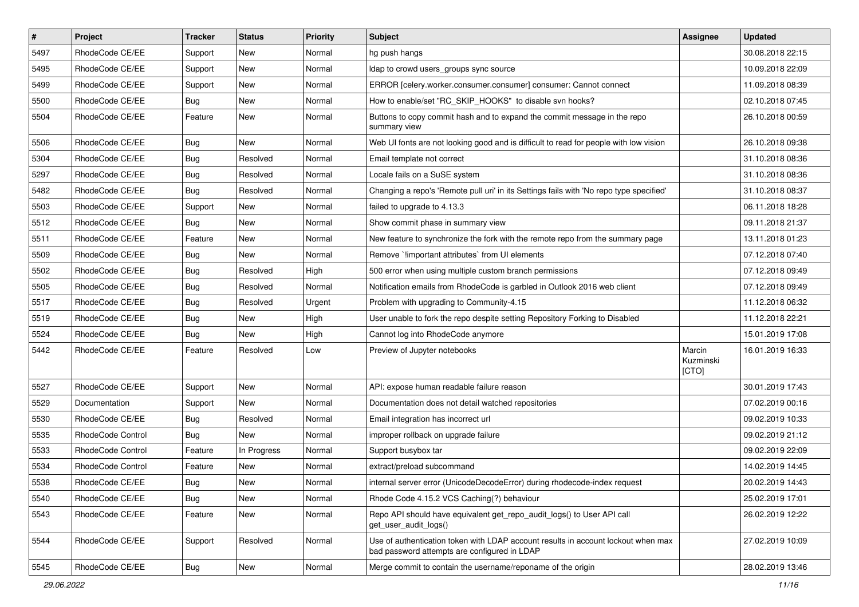| $\pmb{\#}$ | Project                  | <b>Tracker</b> | <b>Status</b> | <b>Priority</b> | Subject                                                                                                                           | <b>Assignee</b>              | <b>Updated</b>   |
|------------|--------------------------|----------------|---------------|-----------------|-----------------------------------------------------------------------------------------------------------------------------------|------------------------------|------------------|
| 5497       | RhodeCode CE/EE          | Support        | <b>New</b>    | Normal          | hg push hangs                                                                                                                     |                              | 30.08.2018 22:15 |
| 5495       | RhodeCode CE/EE          | Support        | New           | Normal          | Idap to crowd users_groups sync source                                                                                            |                              | 10.09.2018 22:09 |
| 5499       | RhodeCode CE/EE          | Support        | New           | Normal          | ERROR [celery.worker.consumer.consumer] consumer: Cannot connect                                                                  |                              | 11.09.2018 08:39 |
| 5500       | RhodeCode CE/EE          | Bug            | New           | Normal          | How to enable/set "RC_SKIP_HOOKS" to disable svn hooks?                                                                           |                              | 02.10.2018 07:45 |
| 5504       | RhodeCode CE/EE          | Feature        | <b>New</b>    | Normal          | Buttons to copy commit hash and to expand the commit message in the repo<br>summary view                                          |                              | 26.10.2018 00:59 |
| 5506       | RhodeCode CE/EE          | Bug            | <b>New</b>    | Normal          | Web UI fonts are not looking good and is difficult to read for people with low vision                                             |                              | 26.10.2018 09:38 |
| 5304       | RhodeCode CE/EE          | <b>Bug</b>     | Resolved      | Normal          | Email template not correct                                                                                                        |                              | 31.10.2018 08:36 |
| 5297       | RhodeCode CE/EE          | <b>Bug</b>     | Resolved      | Normal          | Locale fails on a SuSE system                                                                                                     |                              | 31.10.2018 08:36 |
| 5482       | RhodeCode CE/EE          | <b>Bug</b>     | Resolved      | Normal          | Changing a repo's 'Remote pull uri' in its Settings fails with 'No repo type specified'                                           |                              | 31.10.2018 08:37 |
| 5503       | RhodeCode CE/EE          | Support        | New           | Normal          | failed to upgrade to 4.13.3                                                                                                       |                              | 06.11.2018 18:28 |
| 5512       | RhodeCode CE/EE          | Bug            | New           | Normal          | Show commit phase in summary view                                                                                                 |                              | 09.11.2018 21:37 |
| 5511       | RhodeCode CE/EE          | Feature        | <b>New</b>    | Normal          | New feature to synchronize the fork with the remote repo from the summary page                                                    |                              | 13.11.2018 01:23 |
| 5509       | RhodeCode CE/EE          | Bug            | New           | Normal          | Remove `!important attributes` from UI elements                                                                                   |                              | 07.12.2018 07:40 |
| 5502       | RhodeCode CE/EE          | <b>Bug</b>     | Resolved      | High            | 500 error when using multiple custom branch permissions                                                                           |                              | 07.12.2018 09:49 |
| 5505       | RhodeCode CE/EE          | Bug            | Resolved      | Normal          | Notification emails from RhodeCode is garbled in Outlook 2016 web client                                                          |                              | 07.12.2018 09:49 |
| 5517       | RhodeCode CE/EE          | Bug            | Resolved      | Urgent          | Problem with upgrading to Community-4.15                                                                                          |                              | 11.12.2018 06:32 |
| 5519       | RhodeCode CE/EE          | Bug            | New           | High            | User unable to fork the repo despite setting Repository Forking to Disabled                                                       |                              | 11.12.2018 22:21 |
| 5524       | RhodeCode CE/EE          | Bug            | New           | High            | Cannot log into RhodeCode anymore                                                                                                 |                              | 15.01.2019 17:08 |
| 5442       | RhodeCode CE/EE          | Feature        | Resolved      | Low             | Preview of Jupyter notebooks                                                                                                      | Marcin<br>Kuzminski<br>[CTO] | 16.01.2019 16:33 |
| 5527       | RhodeCode CE/EE          | Support        | <b>New</b>    | Normal          | API: expose human readable failure reason                                                                                         |                              | 30.01.2019 17:43 |
| 5529       | Documentation            | Support        | New           | Normal          | Documentation does not detail watched repositories                                                                                |                              | 07.02.2019 00:16 |
| 5530       | RhodeCode CE/EE          | Bug            | Resolved      | Normal          | Email integration has incorrect url                                                                                               |                              | 09.02.2019 10:33 |
| 5535       | <b>RhodeCode Control</b> | Bug            | <b>New</b>    | Normal          | improper rollback on upgrade failure                                                                                              |                              | 09.02.2019 21:12 |
| 5533       | RhodeCode Control        | Feature        | In Progress   | Normal          | Support busybox tar                                                                                                               |                              | 09.02.2019 22:09 |
| 5534       | RhodeCode Control        | Feature        | New           | Normal          | extract/preload subcommand                                                                                                        |                              | 14.02.2019 14:45 |
| 5538       | RhodeCode CE/EE          | Bug            | New           | Normal          | internal server error (UnicodeDecodeError) during rhodecode-index request                                                         |                              | 20.02.2019 14:43 |
| 5540       | RhodeCode CE/EE          | Bug            | New           | Normal          | Rhode Code 4.15.2 VCS Caching(?) behaviour                                                                                        |                              | 25.02.2019 17:01 |
| 5543       | RhodeCode CE/EE          | Feature        | New           | Normal          | Repo API should have equivalent get_repo_audit_logs() to User API call<br>get_user_audit_logs()                                   |                              | 26.02.2019 12:22 |
| 5544       | RhodeCode CE/EE          | Support        | Resolved      | Normal          | Use of authentication token with LDAP account results in account lockout when max<br>bad password attempts are configured in LDAP |                              | 27.02.2019 10:09 |
| 5545       | RhodeCode CE/EE          | Bug            | New           | Normal          | Merge commit to contain the username/reponame of the origin                                                                       |                              | 28.02.2019 13:46 |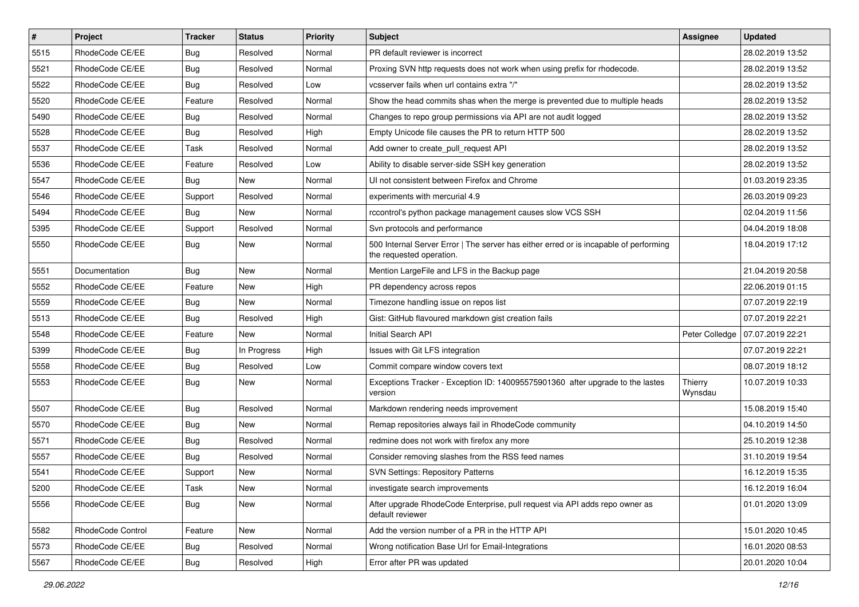| $\sharp$ | Project           | <b>Tracker</b> | <b>Status</b> | Priority | <b>Subject</b>                                                                                                    | <b>Assignee</b>    | <b>Updated</b>   |
|----------|-------------------|----------------|---------------|----------|-------------------------------------------------------------------------------------------------------------------|--------------------|------------------|
| 5515     | RhodeCode CE/EE   | <b>Bug</b>     | Resolved      | Normal   | PR default reviewer is incorrect                                                                                  |                    | 28.02.2019 13:52 |
| 5521     | RhodeCode CE/EE   | Bug            | Resolved      | Normal   | Proxing SVN http requests does not work when using prefix for rhodecode.                                          |                    | 28.02.2019 13:52 |
| 5522     | RhodeCode CE/EE   | <b>Bug</b>     | Resolved      | Low      | vcsserver fails when url contains extra "/"                                                                       |                    | 28.02.2019 13:52 |
| 5520     | RhodeCode CE/EE   | Feature        | Resolved      | Normal   | Show the head commits shas when the merge is prevented due to multiple heads                                      |                    | 28.02.2019 13:52 |
| 5490     | RhodeCode CE/EE   | Bug            | Resolved      | Normal   | Changes to repo group permissions via API are not audit logged                                                    |                    | 28.02.2019 13:52 |
| 5528     | RhodeCode CE/EE   | Bug            | Resolved      | High     | Empty Unicode file causes the PR to return HTTP 500                                                               |                    | 28.02.2019 13:52 |
| 5537     | RhodeCode CE/EE   | Task           | Resolved      | Normal   | Add owner to create pull request API                                                                              |                    | 28.02.2019 13:52 |
| 5536     | RhodeCode CE/EE   | Feature        | Resolved      | Low      | Ability to disable server-side SSH key generation                                                                 |                    | 28.02.2019 13:52 |
| 5547     | RhodeCode CE/EE   | Bug            | New           | Normal   | UI not consistent between Firefox and Chrome                                                                      |                    | 01.03.2019 23:35 |
| 5546     | RhodeCode CE/EE   | Support        | Resolved      | Normal   | experiments with mercurial 4.9                                                                                    |                    | 26.03.2019 09:23 |
| 5494     | RhodeCode CE/EE   | Bug            | <b>New</b>    | Normal   | rccontrol's python package management causes slow VCS SSH                                                         |                    | 02.04.2019 11:56 |
| 5395     | RhodeCode CE/EE   | Support        | Resolved      | Normal   | Svn protocols and performance                                                                                     |                    | 04.04.2019 18:08 |
| 5550     | RhodeCode CE/EE   | Bug            | <b>New</b>    | Normal   | 500 Internal Server Error   The server has either erred or is incapable of performing<br>the requested operation. |                    | 18.04.2019 17:12 |
| 5551     | Documentation     | Bug            | <b>New</b>    | Normal   | Mention LargeFile and LFS in the Backup page                                                                      |                    | 21.04.2019 20:58 |
| 5552     | RhodeCode CE/EE   | Feature        | New           | High     | PR dependency across repos                                                                                        |                    | 22.06.2019 01:15 |
| 5559     | RhodeCode CE/EE   | Bug            | <b>New</b>    | Normal   | Timezone handling issue on repos list                                                                             |                    | 07.07.2019 22:19 |
| 5513     | RhodeCode CE/EE   | Bug            | Resolved      | High     | Gist: GitHub flavoured markdown gist creation fails                                                               |                    | 07.07.2019 22:21 |
| 5548     | RhodeCode CE/EE   | Feature        | <b>New</b>    | Normal   | Initial Search API                                                                                                | Peter Colledge     | 07.07.2019 22:21 |
| 5399     | RhodeCode CE/EE   | Bug            | In Progress   | High     | Issues with Git LFS integration                                                                                   |                    | 07.07.2019 22:21 |
| 5558     | RhodeCode CE/EE   | Bug            | Resolved      | Low      | Commit compare window covers text                                                                                 |                    | 08.07.2019 18:12 |
| 5553     | RhodeCode CE/EE   | Bug            | New           | Normal   | Exceptions Tracker - Exception ID: 140095575901360 after upgrade to the lastes<br>version                         | Thierry<br>Wynsdau | 10.07.2019 10:33 |
| 5507     | RhodeCode CE/EE   | Bug            | Resolved      | Normal   | Markdown rendering needs improvement                                                                              |                    | 15.08.2019 15:40 |
| 5570     | RhodeCode CE/EE   | Bug            | New           | Normal   | Remap repositories always fail in RhodeCode community                                                             |                    | 04.10.2019 14:50 |
| 5571     | RhodeCode CE/EE   | Bug            | Resolved      | Normal   | redmine does not work with firefox any more                                                                       |                    | 25.10.2019 12:38 |
| 5557     | RhodeCode CE/EE   | Bug            | Resolved      | Normal   | Consider removing slashes from the RSS feed names                                                                 |                    | 31.10.2019 19:54 |
| 5541     | RhodeCode CE/EE   | Support        | New           | Normal   | <b>SVN Settings: Repository Patterns</b>                                                                          |                    | 16.12.2019 15:35 |
| 5200     | RhodeCode CE/EE   | Task           | New           | Normal   | investigate search improvements                                                                                   |                    | 16.12.2019 16:04 |
| 5556     | RhodeCode CE/EE   | Bug            | New           | Normal   | After upgrade RhodeCode Enterprise, pull request via API adds repo owner as<br>default reviewer                   |                    | 01.01.2020 13:09 |
| 5582     | RhodeCode Control | Feature        | New           | Normal   | Add the version number of a PR in the HTTP API                                                                    |                    | 15.01.2020 10:45 |
| 5573     | RhodeCode CE/EE   | Bug            | Resolved      | Normal   | Wrong notification Base Url for Email-Integrations                                                                |                    | 16.01.2020 08:53 |
| 5567     | RhodeCode CE/EE   | Bug            | Resolved      | High     | Error after PR was updated                                                                                        |                    | 20.01.2020 10:04 |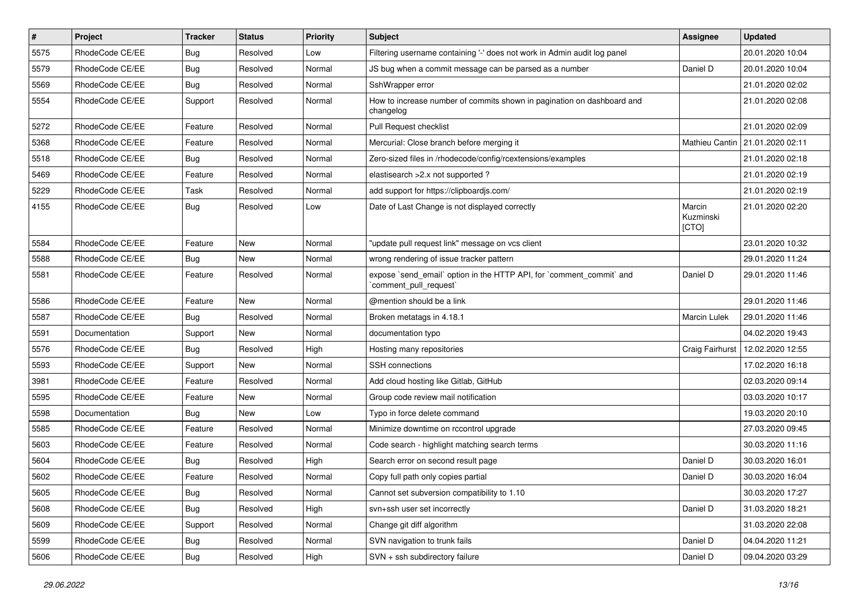| $\vert$ # | Project         | <b>Tracker</b> | <b>Status</b> | <b>Priority</b> | Subject                                                                                        | <b>Assignee</b>              | <b>Updated</b>                    |
|-----------|-----------------|----------------|---------------|-----------------|------------------------------------------------------------------------------------------------|------------------------------|-----------------------------------|
| 5575      | RhodeCode CE/EE | Bug            | Resolved      | Low             | Filtering username containing '-' does not work in Admin audit log panel                       |                              | 20.01.2020 10:04                  |
| 5579      | RhodeCode CE/EE | Bug            | Resolved      | Normal          | JS bug when a commit message can be parsed as a number                                         | Daniel D                     | 20.01.2020 10:04                  |
| 5569      | RhodeCode CE/EE | Bug            | Resolved      | Normal          | SshWrapper error                                                                               |                              | 21.01.2020 02:02                  |
| 5554      | RhodeCode CE/EE | Support        | Resolved      | Normal          | How to increase number of commits shown in pagination on dashboard and<br>changelog            |                              | 21.01.2020 02:08                  |
| 5272      | RhodeCode CE/EE | Feature        | Resolved      | Normal          | Pull Request checklist                                                                         |                              | 21.01.2020 02:09                  |
| 5368      | RhodeCode CE/EE | Feature        | Resolved      | Normal          | Mercurial: Close branch before merging it                                                      |                              | Mathieu Cantin   21.01.2020 02:11 |
| 5518      | RhodeCode CE/EE | Bug            | Resolved      | Normal          | Zero-sized files in /rhodecode/config/rcextensions/examples                                    |                              | 21.01.2020 02:18                  |
| 5469      | RhodeCode CE/EE | Feature        | Resolved      | Normal          | elastisearch > 2.x not supported?                                                              |                              | 21.01.2020 02:19                  |
| 5229      | RhodeCode CE/EE | Task           | Resolved      | Normal          | add support for https://clipboardjs.com/                                                       |                              | 21.01.2020 02:19                  |
| 4155      | RhodeCode CE/EE | Bug            | Resolved      | Low             | Date of Last Change is not displayed correctly                                                 | Marcin<br>Kuzminski<br>[CTO] | 21.01.2020 02:20                  |
| 5584      | RhodeCode CE/EE | Feature        | <b>New</b>    | Normal          | "update pull request link" message on vcs client                                               |                              | 23.01.2020 10:32                  |
| 5588      | RhodeCode CE/EE | Bug            | <b>New</b>    | Normal          | wrong rendering of issue tracker pattern                                                       |                              | 29.01.2020 11:24                  |
| 5581      | RhodeCode CE/EE | Feature        | Resolved      | Normal          | expose `send_email` option in the HTTP API, for `comment_commit` and<br>`comment_pull_request` | Daniel D                     | 29.01.2020 11:46                  |
| 5586      | RhodeCode CE/EE | Feature        | <b>New</b>    | Normal          | @mention should be a link                                                                      |                              | 29.01.2020 11:46                  |
| 5587      | RhodeCode CE/EE | Bug            | Resolved      | Normal          | Broken metatags in 4.18.1                                                                      | <b>Marcin Lulek</b>          | 29.01.2020 11:46                  |
| 5591      | Documentation   | Support        | <b>New</b>    | Normal          | documentation typo                                                                             |                              | 04.02.2020 19:43                  |
| 5576      | RhodeCode CE/EE | Bug            | Resolved      | High            | Hosting many repositories                                                                      | Craig Fairhurst              | 12.02.2020 12:55                  |
| 5593      | RhodeCode CE/EE | Support        | New           | Normal          | SSH connections                                                                                |                              | 17.02.2020 16:18                  |
| 3981      | RhodeCode CE/EE | Feature        | Resolved      | Normal          | Add cloud hosting like Gitlab, GitHub                                                          |                              | 02.03.2020 09:14                  |
| 5595      | RhodeCode CE/EE | Feature        | New           | Normal          | Group code review mail notification                                                            |                              | 03.03.2020 10:17                  |
| 5598      | Documentation   | Bug            | <b>New</b>    | Low             | Typo in force delete command                                                                   |                              | 19.03.2020 20:10                  |
| 5585      | RhodeCode CE/EE | Feature        | Resolved      | Normal          | Minimize downtime on rccontrol upgrade                                                         |                              | 27.03.2020 09:45                  |
| 5603      | RhodeCode CE/EE | Feature        | Resolved      | Normal          | Code search - highlight matching search terms                                                  |                              | 30.03.2020 11:16                  |
| 5604      | RhodeCode CE/EE | Bug            | Resolved      | High            | Search error on second result page                                                             | Daniel D                     | 30.03.2020 16:01                  |
| 5602      | RhodeCode CE/EE | Feature        | Resolved      | Normal          | Copy full path only copies partial                                                             | Daniel D                     | 30.03.2020 16:04                  |
| 5605      | RhodeCode CE/EE | Bug            | Resolved      | Normal          | Cannot set subversion compatibility to 1.10                                                    |                              | 30.03.2020 17:27                  |
| 5608      | RhodeCode CE/EE | Bug            | Resolved      | High            | svn+ssh user set incorrectly                                                                   | Daniel D                     | 31.03.2020 18:21                  |
| 5609      | RhodeCode CE/EE | Support        | Resolved      | Normal          | Change git diff algorithm                                                                      |                              | 31.03.2020 22:08                  |
| 5599      | RhodeCode CE/EE | <b>Bug</b>     | Resolved      | Normal          | SVN navigation to trunk fails                                                                  | Daniel D                     | 04.04.2020 11:21                  |
| 5606      | RhodeCode CE/EE | Bug            | Resolved      | High            | SVN + ssh subdirectory failure                                                                 | Daniel D                     | 09.04.2020 03:29                  |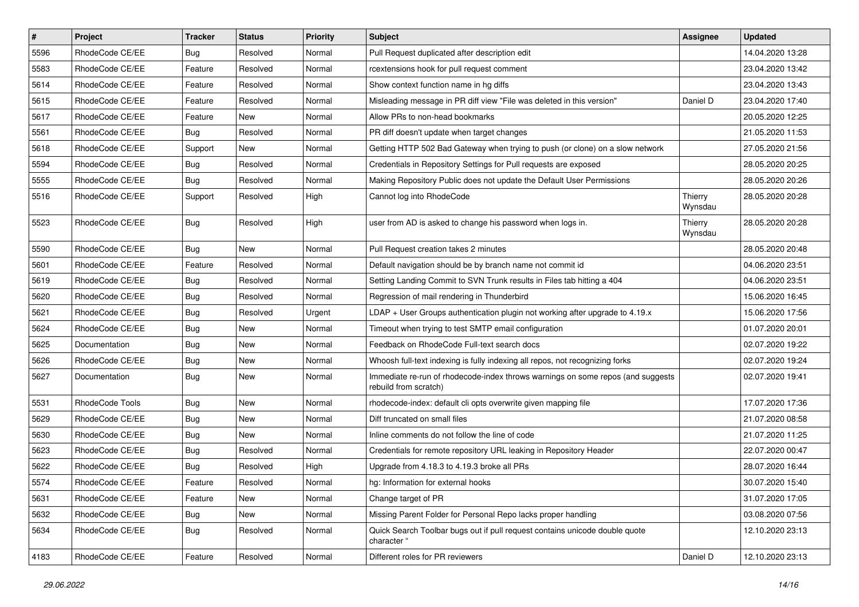| $\vert$ # | Project         | Tracker    | <b>Status</b> | <b>Priority</b> | <b>Subject</b>                                                                                           | Assignee           | <b>Updated</b>   |
|-----------|-----------------|------------|---------------|-----------------|----------------------------------------------------------------------------------------------------------|--------------------|------------------|
| 5596      | RhodeCode CE/EE | Bug        | Resolved      | Normal          | Pull Request duplicated after description edit                                                           |                    | 14.04.2020 13:28 |
| 5583      | RhodeCode CE/EE | Feature    | Resolved      | Normal          | rcextensions hook for pull request comment                                                               |                    | 23.04.2020 13:42 |
| 5614      | RhodeCode CE/EE | Feature    | Resolved      | Normal          | Show context function name in hg diffs                                                                   |                    | 23.04.2020 13:43 |
| 5615      | RhodeCode CE/EE | Feature    | Resolved      | Normal          | Misleading message in PR diff view "File was deleted in this version"                                    | Daniel D           | 23.04.2020 17:40 |
| 5617      | RhodeCode CE/EE | Feature    | New           | Normal          | Allow PRs to non-head bookmarks                                                                          |                    | 20.05.2020 12:25 |
| 5561      | RhodeCode CE/EE | <b>Bug</b> | Resolved      | Normal          | PR diff doesn't update when target changes                                                               |                    | 21.05.2020 11:53 |
| 5618      | RhodeCode CE/EE | Support    | New           | Normal          | Getting HTTP 502 Bad Gateway when trying to push (or clone) on a slow network                            |                    | 27.05.2020 21:56 |
| 5594      | RhodeCode CE/EE | <b>Bug</b> | Resolved      | Normal          | Credentials in Repository Settings for Pull requests are exposed                                         |                    | 28.05.2020 20:25 |
| 5555      | RhodeCode CE/EE | Bug        | Resolved      | Normal          | Making Repository Public does not update the Default User Permissions                                    |                    | 28.05.2020 20:26 |
| 5516      | RhodeCode CE/EE | Support    | Resolved      | High            | Cannot log into RhodeCode                                                                                | Thierry<br>Wynsdau | 28.05.2020 20:28 |
| 5523      | RhodeCode CE/EE | Bug        | Resolved      | High            | user from AD is asked to change his password when logs in.                                               | Thierry<br>Wynsdau | 28.05.2020 20:28 |
| 5590      | RhodeCode CE/EE | <b>Bug</b> | New           | Normal          | Pull Request creation takes 2 minutes                                                                    |                    | 28.05.2020 20:48 |
| 5601      | RhodeCode CE/EE | Feature    | Resolved      | Normal          | Default navigation should be by branch name not commit id                                                |                    | 04.06.2020 23:51 |
| 5619      | RhodeCode CE/EE | <b>Bug</b> | Resolved      | Normal          | Setting Landing Commit to SVN Trunk results in Files tab hitting a 404                                   |                    | 04.06.2020 23:51 |
| 5620      | RhodeCode CE/EE | <b>Bug</b> | Resolved      | Normal          | Regression of mail rendering in Thunderbird                                                              |                    | 15.06.2020 16:45 |
| 5621      | RhodeCode CE/EE | Bug        | Resolved      | Urgent          | LDAP + User Groups authentication plugin not working after upgrade to $4.19.x$                           |                    | 15.06.2020 17:56 |
| 5624      | RhodeCode CE/EE | <b>Bug</b> | New           | Normal          | Timeout when trying to test SMTP email configuration                                                     |                    | 01.07.2020 20:01 |
| 5625      | Documentation   | <b>Bug</b> | New           | Normal          | Feedback on RhodeCode Full-text search docs                                                              |                    | 02.07.2020 19:22 |
| 5626      | RhodeCode CE/EE | <b>Bug</b> | New           | Normal          | Whoosh full-text indexing is fully indexing all repos, not recognizing forks                             |                    | 02.07.2020 19:24 |
| 5627      | Documentation   | Bug        | New           | Normal          | Immediate re-run of rhodecode-index throws warnings on some repos (and suggests<br>rebuild from scratch) |                    | 02.07.2020 19:41 |
| 5531      | RhodeCode Tools | Bug        | New           | Normal          | rhodecode-index: default cli opts overwrite given mapping file                                           |                    | 17.07.2020 17:36 |
| 5629      | RhodeCode CE/EE | <b>Bug</b> | New           | Normal          | Diff truncated on small files                                                                            |                    | 21.07.2020 08:58 |
| 5630      | RhodeCode CE/EE | Bug        | <b>New</b>    | Normal          | Inline comments do not follow the line of code                                                           |                    | 21.07.2020 11:25 |
| 5623      | RhodeCode CE/EE | <b>Bug</b> | Resolved      | Normal          | Credentials for remote repository URL leaking in Repository Header                                       |                    | 22.07.2020 00:47 |
| 5622      | RhodeCode CE/EE | Bug        | Resolved      | High            | Upgrade from 4.18.3 to 4.19.3 broke all PRs                                                              |                    | 28.07.2020 16:44 |
| 5574      | RhodeCode CE/EE | Feature    | Resolved      | Normal          | hg: Information for external hooks                                                                       |                    | 30.07.2020 15:40 |
| 5631      | RhodeCode CE/EE | Feature    | New           | Normal          | Change target of PR                                                                                      |                    | 31.07.2020 17:05 |
| 5632      | RhodeCode CE/EE | Bug        | New           | Normal          | Missing Parent Folder for Personal Repo lacks proper handling                                            |                    | 03.08.2020 07:56 |
| 5634      | RhodeCode CE/EE | <b>Bug</b> | Resolved      | Normal          | Quick Search Toolbar bugs out if pull request contains unicode double quote<br>character "               |                    | 12.10.2020 23:13 |
| 4183      | RhodeCode CE/EE | Feature    | Resolved      | Normal          | Different roles for PR reviewers                                                                         | Daniel D           | 12.10.2020 23:13 |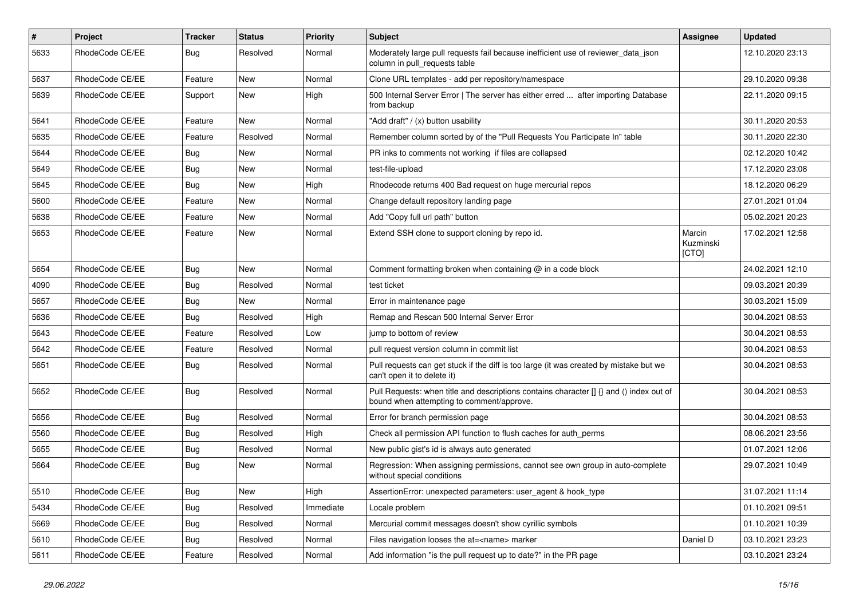| $\sharp$ | Project         | Tracker    | <b>Status</b> | <b>Priority</b> | Subject                                                                                                                              | Assignee                     | <b>Updated</b>   |
|----------|-----------------|------------|---------------|-----------------|--------------------------------------------------------------------------------------------------------------------------------------|------------------------------|------------------|
| 5633     | RhodeCode CE/EE | <b>Bug</b> | Resolved      | Normal          | Moderately large pull requests fail because inefficient use of reviewer_data_json<br>column in pull requests table                   |                              | 12.10.2020 23:13 |
| 5637     | RhodeCode CE/EE | Feature    | New           | Normal          | Clone URL templates - add per repository/namespace                                                                                   |                              | 29.10.2020 09:38 |
| 5639     | RhodeCode CE/EE | Support    | New           | High            | 500 Internal Server Error   The server has either erred  after importing Database<br>from backup                                     |                              | 22.11.2020 09:15 |
| 5641     | RhodeCode CE/EE | Feature    | <b>New</b>    | Normal          | "Add draft" / (x) button usability                                                                                                   |                              | 30.11.2020 20:53 |
| 5635     | RhodeCode CE/EE | Feature    | Resolved      | Normal          | Remember column sorted by of the "Pull Requests You Participate In" table                                                            |                              | 30.11.2020 22:30 |
| 5644     | RhodeCode CE/EE | Bug        | New           | Normal          | PR inks to comments not working if files are collapsed                                                                               |                              | 02.12.2020 10:42 |
| 5649     | RhodeCode CE/EE | <b>Bug</b> | New           | Normal          | test-file-upload                                                                                                                     |                              | 17.12.2020 23:08 |
| 5645     | RhodeCode CE/EE | <b>Bug</b> | <b>New</b>    | High            | Rhodecode returns 400 Bad request on huge mercurial repos                                                                            |                              | 18.12.2020 06:29 |
| 5600     | RhodeCode CE/EE | Feature    | New           | Normal          | Change default repository landing page                                                                                               |                              | 27.01.2021 01:04 |
| 5638     | RhodeCode CE/EE | Feature    | New           | Normal          | Add "Copy full url path" button                                                                                                      |                              | 05.02.2021 20:23 |
| 5653     | RhodeCode CE/EE | Feature    | New           | Normal          | Extend SSH clone to support cloning by repo id.                                                                                      | Marcin<br>Kuzminski<br>[CTO] | 17.02.2021 12:58 |
| 5654     | RhodeCode CE/EE | Bug        | New           | Normal          | Comment formatting broken when containing @ in a code block                                                                          |                              | 24.02.2021 12:10 |
| 4090     | RhodeCode CE/EE | <b>Bug</b> | Resolved      | Normal          | test ticket                                                                                                                          |                              | 09.03.2021 20:39 |
| 5657     | RhodeCode CE/EE | <b>Bug</b> | New           | Normal          | Error in maintenance page                                                                                                            |                              | 30.03.2021 15:09 |
| 5636     | RhodeCode CE/EE | <b>Bug</b> | Resolved      | High            | Remap and Rescan 500 Internal Server Error                                                                                           |                              | 30.04.2021 08:53 |
| 5643     | RhodeCode CE/EE | Feature    | Resolved      | Low             | jump to bottom of review                                                                                                             |                              | 30.04.2021 08:53 |
| 5642     | RhodeCode CE/EE | Feature    | Resolved      | Normal          | pull request version column in commit list                                                                                           |                              | 30.04.2021 08:53 |
| 5651     | RhodeCode CE/EE | Bug        | Resolved      | Normal          | Pull requests can get stuck if the diff is too large (it was created by mistake but we<br>can't open it to delete it)                |                              | 30.04.2021 08:53 |
| 5652     | RhodeCode CE/EE | Bug        | Resolved      | Normal          | Pull Requests: when title and descriptions contains character [] {} and () index out of<br>bound when attempting to comment/approve. |                              | 30.04.2021 08:53 |
| 5656     | RhodeCode CE/EE | <b>Bug</b> | Resolved      | Normal          | Error for branch permission page                                                                                                     |                              | 30.04.2021 08:53 |
| 5560     | RhodeCode CE/EE | <b>Bug</b> | Resolved      | High            | Check all permission API function to flush caches for auth perms                                                                     |                              | 08.06.2021 23:56 |
| 5655     | RhodeCode CE/EE | Bug        | Resolved      | Normal          | New public gist's id is always auto generated                                                                                        |                              | 01.07.2021 12:06 |
| 5664     | RhodeCode CE/EE | <b>Bug</b> | New           | Normal          | Regression: When assigning permissions, cannot see own group in auto-complete<br>without special conditions                          |                              | 29.07.2021 10:49 |
| 5510     | RhodeCode CE/EE | Bug        | New           | High            | AssertionError: unexpected parameters: user_agent & hook_type                                                                        |                              | 31.07.2021 11:14 |
| 5434     | RhodeCode CE/EE | <b>Bug</b> | Resolved      | Immediate       | Locale problem                                                                                                                       |                              | 01.10.2021 09:51 |
| 5669     | RhodeCode CE/EE | Bug        | Resolved      | Normal          | Mercurial commit messages doesn't show cyrillic symbols                                                                              |                              | 01.10.2021 10:39 |
| 5610     | RhodeCode CE/EE | Bug        | Resolved      | Normal          | Files navigation looses the at= <name> marker</name>                                                                                 | Daniel D                     | 03.10.2021 23:23 |
| 5611     | RhodeCode CE/EE | Feature    | Resolved      | Normal          | Add information "is the pull request up to date?" in the PR page                                                                     |                              | 03.10.2021 23:24 |